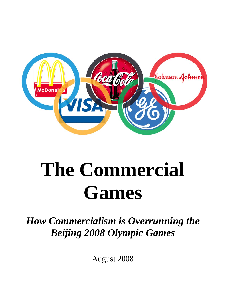

# **The Commercial Games**

*How Commercialism is Overrunning the Beijing 2008 Olympic Games* 

August 2008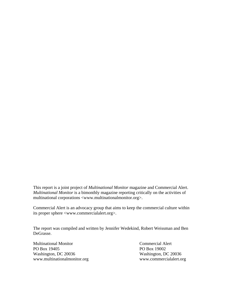This report is a joint project of *Multinational Monitor* magazine and Commercial Alert. *Multinational Monitor* is a bimonthly magazine reporting critically on the activities of multinational corporations <www.multinationalmonitor.org>.

Commercial Alert is an advocacy group that aims to keep the commercial culture within its proper sphere <www.commercialalert.org>.

The report was compiled and written by Jennifer Wedekind, Robert Weissman and Ben DeGrasse.

Multinational Monitor Commercial Alert PO Box 19405 PO Box 19002 Washington, DC 20036 Washington, DC 20036 www.multinationalmonitor.org www.commercialalert.org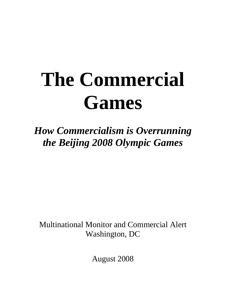# **The Commercial Games**

*How Commercialism is Overrunning the Beijing 2008 Olympic Games* 

Multinational Monitor and Commercial Alert Washington, DC

August 2008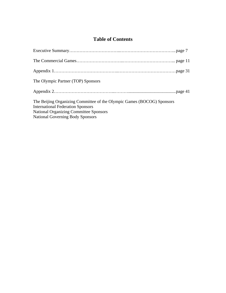# **Table of Contents**

| The Olympic Partner (TOP) Sponsors                                                                                                                                                                             |  |
|----------------------------------------------------------------------------------------------------------------------------------------------------------------------------------------------------------------|--|
|                                                                                                                                                                                                                |  |
| The Beijing Organizing Committee of the Olympic Games (BOCOG) Sponsors<br><b>International Federation Sponsors</b><br><b>National Organizing Committee Sponsors</b><br><b>National Governing Body Sponsors</b> |  |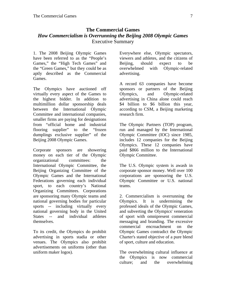# **The Commercial Games**  *How Commercialism is Overrunning the Beijing 2008 Olympic Games*  Executive Summary

1. The 2008 Beijing Olympic Games have been referred to as the "People's Games," the "High Tech Games" and the "Green Games," but they could be as aptly described as the Commercial Games.

The Olympics have auctioned off virtually every aspect of the Games to the highest bidder. In addition to multimillion dollar sponsorship deals between the International Olympic Committee and international companies, smaller firms are paying for designations from "official home and industrial flooring supplier" to the "frozen dumplings exclusive supplier" of the Beijing 2008 Olympic Games.

Corporate sponsors are showering money on each tier of the Olympic organizational committees: the International Olympic Committee, the Beijing Organizing Committee of the Olympic Games and the International Federations governing each individual sport, to each country's National Organizing Committees. Corporations are sponsoring many Olympic teams and national governing bodies for particular sports -- including virtually every national governing body in the United States -- and individual athletes themselves.

To its credit, the Olympics do prohibit advertising in sports stadia or other venues. The Olympics also prohibit advertisements on uniforms (other than uniform maker logos).

Everywhere else, Olympic spectators, viewers and athletes, and the citizens of Beijing, should expect to be overwhelmed with Olympic-related advertising.

A record 63 companies have become sponsors or partners of the Beijing Olympics, and Olympic-related advertising in China alone could reach \$4 billion to \$6 billion this year, according to CSM, a Beijing marketing research firm.

The Olympic Partners (TOP) program, run and managed by the International Olympic Committee (IOC) since 1985, includes 12 companies for the Beijing Olympics. These 12 companies have paid \$866 million to the International Olympic Committee.

The U.S. Olympic system is awash in corporate sponsor money. Well over 100 corporations are sponsoring the U.S. Olympic Committee or U.S. national teams.

2. Commercialism is overrunning the Olympics. It is undermining the professed ideals of the Olympic Games, and subverting the Olympics' veneration of sport with omnipresent commercial messaging and branding. The excessive commercial encroachment on the Olympic Games contradict the Olympic Charter's stated objective of a pure blend of sport, culture and education.

The overwhelming cultural influence at the Olympics is now commercial culture; and the overwhelming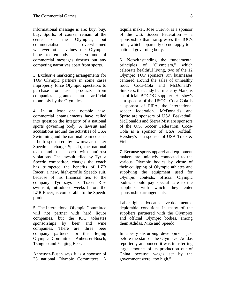informational message is are: buy, buy, buy. Sports, of course, remain at the center of the Olympics, but commercialism has overwhelmed whatever other values the Olympics hope to embody. The volume of commercial messages drowns out any competing narratives apart from sports.

3. Exclusive marketing arrangements for TOP Olympic partners in some cases improperly force Olympic spectators to purchase or use products from companies granted an artificial monopoly by the Olympics.

4. In at least one notable case, commercial entanglements have called into question the integrity of a national sports governing body. A lawsuit and accusations around the activities of USA Swimming and the national team coach - - both sponsored by swimwear maker Speedo -- charge Speedo, the national team and the coach with antitrust violations. The lawsuit, filed by Tyr, a Speedo competitor, charges the coach has trumpeted the benefits of LZR Racer, a new, high-profile Speedo suit, because of his financial ties to the company. Tyr says its Tracer Rise swimsuit, introduced weeks before the LZR Racer, is comparable to the Speedo product.

5. The International Olympic Committee will not partner with hard liquor companies, but the IOC tolerates sponsorships by beer and wine companies. There are three beer company partners for the Beijing Olympic Committee: Anheuser-Busch, Tsingtao and Yanjing Beer.

Anheuser-Busch says it is a sponsor of 25 national Olympic Committees. A

tequila maker, Jose Cuervo, is a sponsor of the U.S. Soccer Federation -- a sponsorship that transgresses the IOC's rules, which apparently do not apply to a national governing body.

6. Notwithstanding the fundamental principles of "Olympism," which celebrate healthful living, two of the 12 Olympic TOP sponsors run businesses centered around the sales of unhealthy food: Coca-Cola and McDonald's. Snickers, the candy bar made by Mars, is an official BOCOG supplier. Hershey's is a sponsor of the USOC. Coca-Cola is a sponsor of FIFA, the international soccer federation. McDonald's and Sprite are sponsors of USA Basketball. McDonald's and Sierra Mist are sponsors of the U.S. Soccer Federation. Coca-Cola is a sponsor of USA Softball. Hershey's is a sponsor of USA Track & Field.

7. Because sports apparel and equipment makers are uniquely connected to the various Olympic bodies by virtue of their equipping of Olympic athletes and supplying the equipment used for Olympic contests, official Olympic bodies should pay special care to the suppliers with which they enter sponsorship arrangements.

Labor rights advocates have documented deplorable conditions in many of the suppliers partnered with the Olympics and official Olympic bodies, among them Adidas, Nike and Speedo.

In a very disturbing development just before the start of the Olympics, Adidas reportedly announced it was transferring large amounts of its production out of China because wages set by the government were "too high."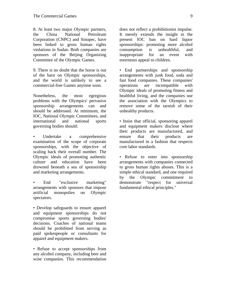8. At least two major Olympic partners, the China National Petroleum Corporation (CNPC) and Sinopec, have been linked to gross human rights violations in Sudan. Both companies are sponsors of the Beijing Organizing Committee of the Olympic Games.

9. There is no doubt that the horse is out of the barn on Olympic sponsorships, and the world is unlikely to see a commercial-free Games anytime soon.

Nonetheless, the most egregious problems with the Olympics' pervasive sponsorship arrangements can and should be addressed. At minimum, the IOC, National Olympic Committees, and international and national sports governing bodies should:

• Undertake a comprehensive examination of the scope of corporate sponsorships, with the objective of scaling back their overall number. The Olympic ideals of promoting authentic culture and education have been drowned beneath a sea of sponsorship and marketing arrangements.

• End "exclusive marketing" arrangements with sponsors that impose artificial monopolies on Olympic spectators.

• Develop safeguards to ensure apparel and equipment sponsorships do not compromise sports governing bodies' decisions. Coaches of national teams should be prohibited from serving as paid spokespeople or consultants for apparel and equipment makers.

• Refuse to accept sponsorships from any alcohol company, including beer and wine companies. This recommendation

does *not* reflect a prohibitionist impulse. It merely extends the insight in the present IOC ban on hard liquor sponsorships: promoting more alcohol consumption is unhealthful, and inappropriate for an event with enormous appeal to children.

• End partnerships and sponsorship arrangements with junk food, soda and fast food companies. These companies' operations are incompatible with Olympic ideals of promoting fitness and healthful living, and the companies use the association with the Olympics to remove some of the tarnish of their unhealthy products.

• Insist that official, sponsoring apparel and equipment makers disclose where their products are manufactured, and ensure that their products are manufactured in a fashion that respects core labor standards.

• Refuse to enter into sponsorship arrangements with companies connected to gross human rights abuses. This is a simple ethical standard, and one required by the Olympic commitment to demonstrate "respect for universal fundamental ethical principles."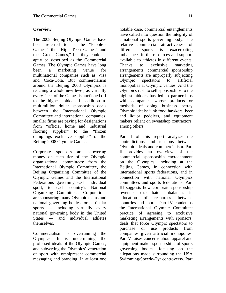# **Overview**

The 2008 Beijing Olympic Games have been referred to as the "People's Games," the "High Tech Games" and the "Green Games," but they could as aptly be described as the Commercial Games. The Olympic Games have long been a marketing venue for multinational companies such as Visa and Coca-Cola. But commercialism around the Beijing 2008 Olympics is reaching a whole new level, as virtually every facet of the Games is auctioned off to the highest bidder. In addition to multimillion dollar sponsorship deals between the International Olympic Committee and international companies, smaller firms are paying for designations from "official home and industrial flooring supplier" to the "frozen dumplings exclusive supplier" of the Beijing 2008 Olympic Games.

Corporate sponsors are showering money on each tier of the Olympic organizational committees: from the International Olympic Committee, the Beijing Organizing Committee of the Olympic Games and the International Federations governing each individual sport, to each country's National Organizing Committees. Corporations are sponsoring many Olympic teams and national governing bodies for particular sports — including virtually every national governing body in the United States — and individual athletes themselves.

Commercialism is overrunning the Olympics. It is undermining the professed ideals of the Olympic Games, and subverting the Olympics' veneration of sport with omnipresent commercial messaging and branding. In at least one

notable case, commercial entanglements have called into question the integrity of a national sports governing body. The relative commercial attractiveness of different sports is exacerbating imbalances in the resources and support available to athletes in different events. Thanks to exclusive marketing arrangements, commercial sponsorship arrangements are improperly subjecting Olympic spectators to artificial monopolies at Olympic venues. And the Olympics rush to sell sponsorships to the highest bidders has led to partnerships with companies whose products or methods of doing business betray Olympic ideals: junk food hawkers, beer and liquor peddlers, and equipment makers reliant on sweatshop contractors, among others.

Part I of this report analyzes the contradictions and tensions between Olympic ideals and commercialism. Part II provides an overview of the commercial sponsorship encroachment on the Olympics, including at the Beijing Games, in connection with international sports federations, and in connection with national Olympics committees and sports federations. Part III suggests how corporate sponsorship revenues exacerbate imbalances in allocation of resources between countries and sports. Part IV condemns the International Olympic Committee practice of agreeing to exclusive marketing arrangements with sponsors, deals that force Olympic spectators to purchase or use products from companies given artificial monopolies. Part V raises concerns about apparel and equipment maker sponsorships of sports governing bodies, focusing on the allegations made surrounding the USA Swimming/Speedo-Tyr controversy. Part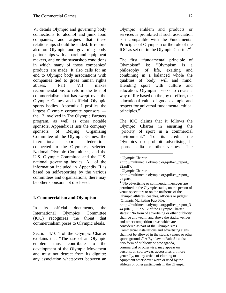VI details Olympic and governing body connections to alcohol and junk food companies, and argues that these relationships should be ended. It reports also on Olympic and governing body partnerships with apparel and equipment makers, and on the sweatshop conditions in which many of those companies' products are made. It also calls for an end to Olympic body associations with companies tied to gross human rights abuses. Part VII makes recommendations to reform the tide of commercialism that has swept over the Olympic Games and official Olympic sports bodies. Appendix I profiles the largest Olympic corporate sponsors the 12 involved in The Olympic Partners program, as well as other notable sponsors. Appendix II lists the company sponsors of Beijing Organizing Committee of the Olympic Games, the international sports federations connected to the Olympics, selected National Olympic Committees, and the U.S. Olympic Committee and the U.S. national governing bodies. All of the information included in Appendix II is based on self-reporting by the various committees and organizations; there may be other sponsors not disclosed.

# **I. Commercialism and Olympism**

In its official documents, the International Olympics Committee (IOC) recognizes the threat that commercialism poses to Olympic ideals.

Section 4.10.4 of the Olympic Charter explains that "The use of an Olympic emblem must contribute to the development of the Olympic Movement and must not detract from its dignity; any association whatsoever between an

Olympic emblem and products or services is prohibited if such association is incompatible with the Fundamental Principles of Olympism or the role of the IOC as set out in the Olympic Charter."

The first "fundamental principle of Olympism" is: "Olympism is a philosophy of life, exalting and combining in a balanced whole the qualities of body, will and mind. Blending sport with culture and education, Olympism seeks to create a way of life based on the joy of effort, the educational value of good example and respect for universal fundamental ethical principles." $^2$ 

The IOC claims that it follows the Olympic Charter in ensuring the "priority of sport in a commercial environment." To its credit, the Olympics do prohibit advertising in sports stadia or other venues.<sup>3</sup> The

1

<sup>1</sup> Olympic Charter.

<sup>&</sup>lt;http://multimedia.olympic.org/pdf/en\_report\_1 22.pdf>.

<sup>&</sup>lt;sup>2</sup> Olympic Charter.

<sup>&</sup>lt;http://multimedia.olympic.org/pdf/en\_report\_1 22.pdf>.

<sup>&</sup>lt;sup>3</sup> "No advertising or commercial messages are permitted in the Olympic stadia, on the person of venue spectators or on the uniforms of the Olympic athletes, coaches, officials or judges" (Olympic Marketing Fact File. <http://multimedia.olympic.org/pdf/en\_report\_3 44.pdf>.) Rule 51.2 of the Olympic Charter states: "No form of advertising or other publicity shall be allowed in and above the stadia, venues and other competition areas which are considered as part of the Olympic sites. Commercial installations and advertising signs shall not be allowed in the stadia, venues or other sports grounds." A Bye-law to Rule 51 adds: "No form of publicity or propaganda, commercial or otherwise, may appear on persons, on sportswear, accessories or, more generally, on any article of clothing or equipment whatsoever worn or used by the athletes or other participants in the Olympic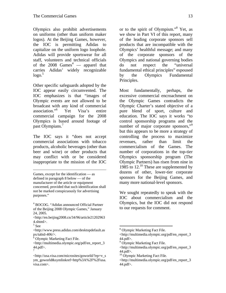Olympics also prohibit advertisements on uniforms (other than uniform maker logos). At the Beijing Games, however, the IOC is permitting Adidas to capitalize on the uniform logo loophole. Adidas will provide sportswear for all staff, volunteers and technical officials of the 2008  $\text{Games}^4$  — apparel that carries Adidas' widely recognizable  $logo.<sup>5</sup>$ 

Other specific safeguards adopted by the IOC appear easily circumvented. The IOC emphasizes is that "images of Olympic events are not allowed to be broadcast with any kind of commercial association."6 Yet Visa's entire commercial campaign for the 2008 Olympics is based around footage of past Olympians.<sup>7</sup>

The IOC says it "does not accept commercial associations with tobacco products, alcoholic beverages (other than beer and wine) or other products that may conflict with or be considered inappropriate to the mission of the IOC

<u>.</u>

 $6$  Olympic Marketing Fact File.

or to the spirit of Olympism."8 Yet, as we show in Part VI of this report, many of the leading corporate sponsors sell products that are incompatible with the Olympics' healthful message; and many of the corporate sponsors of the Olympics and national governing bodies do not respect the "universal fundamental ethical principles" espoused by the Olympics Fundamental Principles.

Most fundamentally, perhaps, the excessive commercial encroachment on the Olympic Games contradicts the Olympic Charter's stated objective of a pure blend of sport, culture and education. The IOC says it works "to control sponsorship programs and the number of major corporate sponsors,"<sup>9</sup> but this appears to be more a strategy of controlling the process to maximize revenues, rather than limit the commercialism of the Games. The number of corporations in the top-tier Olympics sponsorship program (The Olympic Partners) has risen from nine in 1985 to 12.<sup>10</sup> These are supplemented by dozens of other, lower-tier corporate sponsors for the Beijing Games, and many more national-level sponsors.

We sought repeatedly to speak with the IOC about commercialism and the Olympics, but the IOC did not respond to our requests for comment.

Games, except for the identification — as defined in paragraph 8 below — of the manufacturer of the article or equipment concerned, provided that such identification shall not be marked conspicuously for advertising purposes."

<sup>4</sup> BOCOG. "Adidas announced Official Partner of the Beijing 2008 Olympic Games," January 24, 2005.

<sup>&</sup>lt;http://en.beijing2008.cn/34/96/article21202963 4.shtml>.

<sup>5</sup> See

<sup>&</sup>lt;http://www.press.adidas.com/desktopdefault.as px/tabid-406/>.

<sup>&</sup>lt;http://multimedia.olympic.org/pdf/en\_report\_3 44.pdf>. 7

<sup>&</sup>lt;http://usa.visa.com/microsites/goworld/?ep=v\_s ym\_goworld&symlinkref=http%3A%2F%2Fusa. visa.com>.

<sup>&</sup>lt;sup>8</sup> Olympic Marketing Fact File.

<sup>&</sup>lt;http://multimedia.olympic.org/pdf/en\_report\_3 44.pdf>.

<sup>&</sup>lt;sup>9</sup> Olympic Marketing Fact File.

<sup>&</sup>lt;http://multimedia.olympic.org/pdf/en\_report\_3 44.pdf>.

<sup>&</sup>lt;sup>10</sup> Olympic Marketing Fact File.

<sup>&</sup>lt;http://multimedia.olympic.org/pdf/en\_report\_3 44.pdf>.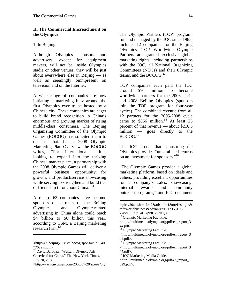## **II. The Commercial Encroachment on the Olympics**

## 1. In Beijing

Although Olympics sponsors and advertisers, except for equipment makers, will not be inside Olympics stadia or other venues, they will be just about everywhere else in Beijing — as well as seemingly omnipresent on television and on the Internet.

A wide range of companies are now initiating a marketing blitz around the first Olympics ever to be hosted by a Chinese city. These companies are eager to build brand recognition in China's enormous and growing market of rising middle-class consumers. The Beijing Organizing Committee of the Olympic Games (BOCOG) has solicited them to do just that. In its 2008 Olympic Marketing Plan Overview, the BOCOG writes, "For international entities looking to expand into the thriving Chinese market place, a partnership with the 2008 Olympic Games will deliver a powerful business opportunity for growth, and product/service showcasing while serving to strengthen and build ties of friendship throughout China."<sup>11</sup>

A record 63 companies have become sponsors or partners of the Beijing Olympics, and Olympic-related advertising in China alone could reach \$4 billion to \$6 billion this year, according to CSM, a Beijing marketing research firm. $^{12}$ 

The Olympic Partners (TOP) program, run and managed by the IOC since 1985, includes 12 companies for the Beijing Olympics. TOP Worldwide Olympic Partners are granted exclusive global marketing rights, including partnerships with the IOC, all National Organizing Committees (NOCs) and their Olympic teams, and the BOCOG. $^{13}$ 

TOP companies each paid the IOC around \$70 million to become worldwide partners for the 2006 Turin and 2008 Beijing Olympics (sponsors join the TOP program for four-year cycles). The combined revenue from all 12 partners for the 2005-2008 cycle came to  $$866$  million.<sup>14</sup> At least 25 percent of that revenue — about \$216.5 million — goes directly to the  $BOCOG.<sup>15</sup>$ 

The IOC boasts that sponsoring the Olympics provides "unparalleled returns on an investment for sponsors."16

"The Olympic Games provide a global marketing platform, based on ideals and values, providing excellent opportunities for a company's sales, showcasing, internal rewards and community outreach programs," one IOC document

 11

<sup>&</sup>lt;http://en.beijing2008.cn/bocog/sponsors/n2140 77622.shtml>.

<sup>&</sup>lt;sup>12</sup> David Barboza, "Western Olympic Ads Cheerlead for China." The New York Times, July 20, 2008.

<sup>&</sup>lt;http://www.nytimes.com/2008/07/20/sports/oly

mpics/20ads.html?r=2&adxnnl=1&oref=slogin& ref=worldbusiness&adxnnlx=1217358135-

<sup>7</sup>WZs5F5Sp14HGj99U2y2KQ>.

<sup>&</sup>lt;sup>13</sup> Olympic Marketing Fact File.

<sup>&</sup>lt;http://multimedia.olympic.org/pdf/en\_report\_3 44.pdf>.

<sup>&</sup>lt;sup>14</sup> Olympic Marketing Fact File.

<sup>&</sup>lt;http://multimedia.olympic.org/pdf/en\_report\_3 44.pdf>.

<sup>&</sup>lt;sup>15</sup> Olympic Marketing Fact File.

<sup>&</sup>lt;http://multimedia.olympic.org/pdf/en\_report\_3 44.pdf>.

<sup>&</sup>lt;sup>16</sup> IOC Marketing Media Guide.

<sup>&</sup>lt;http://multimedia.olympic.org/pdf/en\_report\_1 329.pdf>.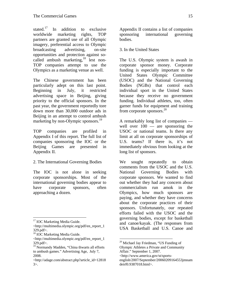stated.<sup>17</sup> In addition to exclusive worldwide marketing rights, TOP partners are granted use of all Olympic imagery, preferential access to Olympic broadcasting advertising, on-site opportunities and protection against socalled ambush marketing,<sup>18</sup> lest non-TOP companies attempt to use the Olympics as a marketing venue as well.

The Chinese government has been particularly adept on this last point. Beginning in July, it restricted advertising space in Beijing, giving priority to the official sponsors. In the past year, the government reportedly tore down more than 30,000 outdoor ads in Beijing in an attempt to control ambush marketing by non-Olympic sponsors.<sup>19</sup>

TOP companies are profiled in Appendix I of this report. The full list of companies sponsoring the IOC or the Beijing Games are presented in Appendix II.

2. The International Governing Bodies

The IOC is not alone in seeking corporate sponsorships. Most of the international governing bodies appear to have corporate sponsors, often approaching a dozen.

1

Appendix II contains a list of companies sponsoring international governing bodies.

3. In the United States

The U.S. Olympic system is awash in corporate sponsor money. Corporate funding is especially important to the United States Olympic Committee (USOC) and the National Governing Bodies (NGBs) that control each individual sport in the United States because they receive no government funding. Individual athletes, too, often garner funds for equipment and training from corporate sponsors. $^{20}$ 

A remarkably long list of companies well over 100 — are sponsoring the USOC or national teams. Is there any limit at all on corporate sponsorships of U.S. teams? If there is, it's not immediately obvious from looking at the long list of sponsors.

We sought repeatedly to obtain comments from the USOC and the U.S. National Governing Bodies with corporate sponsors. We wanted to find out whether they had any concern about commercialism run amok in the Olympics, how much sponsors are paying, and whether they have concerns about the corporate practices of their sponsors. Unfortunately, our repeated efforts failed with the USOC and the governing bodies, except for basketball and canoe/kayak. (The responses from USA Basketball and U.S. Canoe and

<sup>&</sup>lt;sup>17</sup> IOC Marketing Media Guide.

<sup>&</sup>lt;http://multimedia.olympic.org/pdf/en\_report\_1 329.pdf>.

<sup>&</sup>lt;sup>18</sup> IOC Marketing Media Guide.

<sup>&</sup>lt;http://multimedia.olympic.org/pdf/en\_report\_1 329.pdf>.

<sup>&</sup>lt;sup>19</sup> Normandy Madden, "China thwarts all efforts to ambush games." Advertising Age, July 7, 2008.

<sup>&</sup>lt;http://adage.com/abstract.php?article\_id=12818 3>.

<sup>20</sup> Michael Jay Friedman, "US Funding of Olympic Athletes a Private and Community Affair." September 1, 2007.

<sup>&</sup>lt;http://www.america.gov/st/sports-

english/2007/September/20060209164553jmnam deirf0.9387018.html>.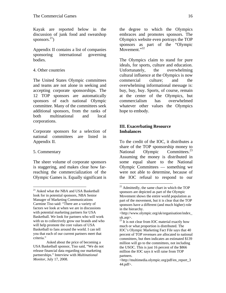Kayak are reported below in the discussion of junk food and sweatshop sponsors. $^{21}$ )

Appendix II contains a list of companies sponsoring international governing bodies.

# 4. Other countries

The United States Olympic committees and teams are not alone in seeking and accepting corporate sponsorships. The 12 TOP sponsors are automatically sponsors of each national Olympic committee. Many of the committees seek additional sponsors, from the ranks of both multinational and local corporations.

Corporate sponsors for a selection of national committees are listed in Appendix II.

# 5. Commentary

 $\overline{a}$ 

The sheer volume of corporate sponsors is staggering, and makes clear how farreaching the commercialization of the Olympic Games is. Equally significant is

the degree to which the Olympics embraces and promotes sponsors. The Olympics website even portrays the TOP sponsors as part of the "Olympic Movement."<sup>22</sup>

The Olympics claim to stand for pure ideals, for sports, culture and education. Unfortunately, the overwhelming cultural influence at the Olympics is now commercial culture; and the overwhelming informational message is: buy, buy, buy. Sports, of course, remain at the center of the Olympics, but commercialism has overwhelmed whatever other values the Olympics hope to embody.

# **III. Exacerbating Resource Imbalances**

To the credit of the IOC, it distributes a share of the TOP sponsorship money to National Olympic Committees.<sup>23</sup> Assuming the money is distributed in some equal share to the National Olympic Committees — something we were not able to determine, because of the IOC refusal to respond to our

<sup>&</sup>lt;sup>21</sup> Asked what the NBA and USA Basketball look for in potential sponsors, NBA Senior Manager of Marketing Communications Carmine Tiso said: "There are a variety of factors we look at when we are in discussions with potential marketing partners for USA Basketball. We look for partners who will work with us to collectively grow our brands and who will help promote the core values of USA Basketball to fans around the world. I can tell you that each of our current partners meet that criteria."

Asked about the price of becoming a USA Basketball sponsor, Tiso said, "We do not release financial data regarding our marketing partnerships." Interview with *Multinational Monitor*, July 17, 2008.

 $22$  Admittedly, the same chart in which the TOP sponsors are depicted as part of the Olympic Movement shows the entire world population as part of the movement, but it is clear that the TOP sponsors have a different (and much higher) role in the hierarchy.

<sup>&</sup>lt;http://www.olympic.org/uk/organisation/index\_ uk.asp>.

 $23$  It is not clear from IOC material exactly how much or what proportion is distributed. The IOC's Olympic Marketing Fact File says that 40 percent of TOP revenues are allocated to national committees, but then indicates an estimated \$139 million will go to the committees, not including the USOC. This is just 16 percent of the \$866 million the IOC says it will raise from TOP partners.

<sup>&</sup>lt;http://multimedia.olympic.org/pdf/en\_report\_3 44.pdf>.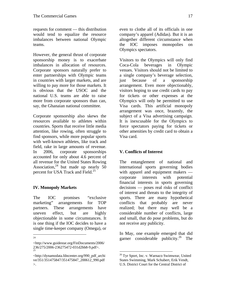requests for comment — this distribution would tend to equalize the resource imbalances between national Olympic teams.

However, the general thrust of corporate sponsorship money is to exacerbate imbalances in allocation of resources. Corporate sponsors naturally prefer to enter partnerships with Olympic teams in countries with larger markets, and are willing to pay more for those markets. It is obvious that the USOC and the national U.S. teams are able to raise more from corporate sponsors than can, say, the Ghanaian national committee.

Corporate sponsorship also skews the resources available to athletes within countries. Sports that receive little media attention, like rowing, often struggle to find sponsors, while more popular sports with well-known athletes, like track and field, rake in large amounts of revenue. In 2006, corporate sponsorships accounted for only about 4.6 percent of all revenue for the United States Rowing Association,<sup>24</sup> but made up nearly  $50$ percent for USA Track and Field.<sup>25</sup>

# **IV. Monopoly Markets**

The IOC promises "exclusive marketing" arrangements for TOP partners. These arrangements have uneven effect, but are highly objectionable in some circumstances. It is one thing if the IOC decides to have a single time-keeper company (Omega), or

 $\frac{1}{24}$ 

even to clothe all of its officials in one company's apparel (Adidas). But it is an altogether different circumstance when the IOC imposes monopolies on Olympics spectators.

Visitors to the Olympics will only find Coca-Cola beverages in Olympic venues. Visitors should not be limited to a single company's beverage selection, just because of a sponsorship arrangement. Even more objectionably, visitors hoping to use credit cards to pay for tickets or other expenses at the Olympics will only be permitted to use Visa cards. This artificial monopoly arrangement was once, brazenly, the subject of a Visa advertising campaign. It is inexcusable for the Olympics to force spectators paying for tickets or other amenities by credit card to obtain a Visa card.

# **V. Conflicts of Interest**

The entanglement of national and international sports governing bodies with apparel and equipment makers corporate interests with potential financial interests in sports governing decisions — poses real risks of conflict of interest and threats to the integrity of sports. There are many hypothetical conflicts that probably are never realized; but there may well be a considerable number of conflicts, large and small, that do pose problems, but do not receive any publicity.

In May, one example emerged that did garner considerable publicity.<sup>26</sup> The

1

<sup>&</sup>lt;http://www.guidestar.org/FinDocuments/2006/ 236/275/2006-236275472-031d2bb8-9.pdf>. 25

<sup>&</sup>lt;http://dynamodata.fdncenter.org/990\_pdf\_archi ve/351/351475847/351475847\_200612\_990.pdf >.

<sup>26</sup> Tyr Sport, Inc. v. Warnaco Swimwear, United States Swimming, Mark Schubert, Erik Vendt, U.S. District Court for the Central District of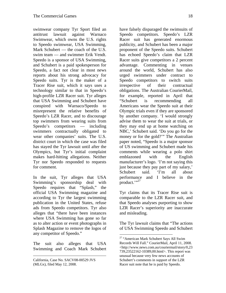swimwear company Tyr Sport filed an antitrust lawsuit against Warnaco Swimwear, which owns the U.S. rights to Speedo swimwear, USA Swimming, Mark Schubert — the coach of the U.S. swim team — and swimmer Erik Vendt. Speedo is a sponsor of USA Swimming, and Schubert is a paid spokesperson for Speedo, a fact not clear in most news reports about his strong advocacy for Speedo suits. Tyr is the maker of a Tracer Rise suit, which it says uses a technology similar to that in Speedo's high-profile LZR Racer suit. Tyr alleges that USA Swimming and Schubert have conspired with Warnaco/Speedo to misrepresent the relative benefits of Speedo's LZR Racer, and to discourage top swimmers from wearing suits from Speedo's competitors — including swimmers contractually obligated to wear other companies' suits. The U.S. district court in which the case was filed has stayed the Tyr lawsuit until after the Olympics, but Tyr's initial complaint makes hard-hitting allegations. Neither Tyr nor Speedo responded to requests for comment.

In the suit, Tyr alleges that USA Swimming's sponsorship deal with Speedo requires that "Splash," the official USA Swimming magazine and according to Tyr the largest swimming publication in the United States, refuse ads from Speedo competitors. Tyr also alleges that "there have been instances where USA Swimming has gone so far as to alter action or event photographs in Splash Magazine to remove the logos of any competitor of Speedo."

The suit also alleges that USA Swimming and Coach Mark Schubert

 $\overline{a}$ 

have falsely disparaged the swimsuits of Speedo competitors. Speedo's LZR Racer suit has generated enormous publicity, and Schubert has been a major proponent of the Speedo suits. Schubert has echoed Speedo's claim that LZR Racer suits give competitors a 2 percent advantage. Commenting in venues around the world, Schubert has also urged swimmers under contract to Speedo competitors to switch suits irrespective of their contractual obligations. The Australian CourierMail, for example, reported in April that "Schubert is recommending all Americans wear the Speedo suit at their Olympic trials even if they are sponsored by another company. 'I would strongly advise them to wear the suit at trials, or they may end up at home watching on NBC,' Schubert said. 'Do you go for the money or for the gold?'" The Australian paper noted, "Speedo is a major sponsor of US swimming and Schubert made his comments while wearing a polo shirt emblazoned with the English manufacturer's logo. 'I'm not saying this just because they pay part of my salary,' Schubert said. 'I'm all about performance and I believe in the product. $\cdots^{27}$ 

Tyr claims that its Tracer Rise suit is comparable to the LZR Racer suit, and that Speedo analyses purporting to show LZR Racer's superiority are inaccurate and misleading.

The Tyr lawsuit claims that "The actions of USA Swimming Speedo and Schubert

California, Case No. SACV08-00529 JVS (MLGx), filed May 12, 2008.

<sup>&</sup>lt;sup>27</sup> "American Mark Schubert Says All Swim Records Will Fall." CourierMail, April 11, 2008. <http://www.news.com.au/couriermail/story/0,23 739,23522162-10389,00.html>. This report was unusual because very few news accounts of Schubert's comments in support of the LZR Racer suit note that he is paid by Speedo.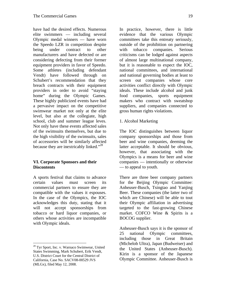have had the desired effects. Numerous elite swimmers — including several Olympic medal winners — have worn the Speedo LZR in competition despite being under contract to other manufacturers and have defected or are considering defecting from their former equipment providers in favor of Speedo. Some athletes (including defendant Vendt) have followed through on Schubert's recommendation that they breach contracts with their equipment providers in order to avoid "staying home" during the Olympic Games. These highly publicized events have had a pervasive impact on the competitive swimwear market not only at the elite level, but also at the collegiate, high school, club and summer league leves. Not only have these events affected sales of the swimsuits themselves, but due to the high visibility of the swimsuits, sales of accessories will be similarly affected because they are inextricably linked."<sup>28</sup>

# **VI. Corporate Sponsors and their Discontents**

A sports festival that claims to advance certain values must screen its commercial partners to ensure they are compatible with the values it espouses. In the case of the Olympics, the IOC acknowledges this duty, stating that it will not accept sponsorships from tobacco or hard liquor companies, or others whose activities are incompatible with Olympic ideals.

In practice, however, there is little evidence that the various Olympic committees take this entreaty seriously, outside of the prohibition on partnering with tobacco companies. Serious criticisms can be lodged against aspects of almost large multinational company, but it is reasonable to expect the IOC, national committees, and international and national governing bodies at least to screen out companies whose core activities conflict directly with Olympic ideals. These include alcohol and junk food companies, sports equipment makers who contract with sweatshop suppliers, and companies connected to gross human rights violations.

# 1. Alcohol Marketing

The IOC distinguishes between liquor company sponsorships and those from beer and wine companies, deeming the latter acceptable. It should be obvious, however, that associating with the Olympics is a means for beer and wine companies — intentionally or otherwise — to appeal to youth.

There are three beer company partners for the Beijing Olympic Committee: Anheuser-Busch, Tsingtao and Yanjing Beer. These companies (the latter two of which are Chinese) will be able to tout their Olympic affiliation in advertising targeted to the fast-growing Chinese market. COFCO Wine & Spirits is a BOCOG supplier.

Anheuser-Busch says it is the sponsor of 25 national Olympic committees, including those in Great Britain (Michelob Ultra), Japan (Budweiser) and the United States (Anheuser-Busch). Kirin is a sponsor of the Japanese Olympic Committee. Anheuser-Busch is

 $\overline{a}$ 28 Tyr Sport, Inc. v. Warnaco Swimwear, United States Swimming, Mark Schubert, Erik Vendt, U.S. District Court for the Central District of California, Case No. SACV08-00529 JVS (MLGx), filed May 12, 2008.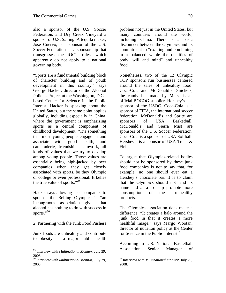also a sponsor of the U.S. Soccer Federation, and Dry Creek Vineyard a sponsor of U.S. Sailing. A tequila maker, Jose Cuervo, is a sponsor of the U.S. Soccer Federation — a sponsorship that transgresses the IOC's rules, which apparently do not apply to a national governing body.

"Sports are a fundamental building block of character building and of youth development in this country," says George Hacker, director of the Alcohol Policies Project at the Washington, D.C. based Center for Science in the Public Interest. Hacker is speaking about the United States, but the same point applies globally, including especially in China, where the government is emphasizing sports as a central component of childhood development. "It's something that most young people engage in and associate with good health, and camaraderie, friendship, teamwork, all kinds of values that we try to develop among young people. Those values are essentially being high-jacked by beer companies when they get closely associated with sports, be they Olympic or college or even professional. It belies the true value of sports."<sup>29</sup>

Hacker says allowing beer companies to sponsor the Beijing Olympics is "an incongruous association given that alcohol has nothing to do with success in sports."<sup>30</sup>

# 2. Partnering with the Junk Food Pushers

Junk foods are unhealthy and contribute to obesity — a major public health

<u>.</u>

problem not just in the United States, but many countries around the world, including China. There is a basic disconnect between the Olympics and its commitment to "exalting and combining in a balanced whole the qualities of body, will and mind" and unhealthy food.

Nonetheless, two of the 12 Olympic TOP sponsors run businesses centered around the sales of unhealthy food: Coca-Cola and McDonald's. Snickers, the candy bar made by Mars, is an official BOCOG supplier. Hershey's is a sponsor of the USOC. Coca-Cola is a sponsor of FIFA, the international soccer federation. McDonald's and Sprite are sponsors of USA Basketball. McDonald's and Sierra Mist are sponsors of the U.S. Soccer Federation. Coca-Cola is a sponsor of USA Softball. Hershey's is a sponsor of USA Track & Field.

To argue that Olympics-related bodies should not be sponsored by these junk food companies is not to say that, for example, no one should ever eat a Hershey's chocolate bar. It is to claim that the Olympics should not lend its name and aura to help promote more consumption of these unhealthy products.

The Olympics association does make a difference. "It creates a halo around the junk food in that it creates a more healthful image," says Margo Wootan, director of nutrition policy at the Center for Science in the Public Interest. $31$ 

According to U.S. National Basketball Association Senior Manager of

<sup>29</sup> Interview with *Multinational Monitor*, July 29, 2008.

<sup>30</sup> Interview with *Multinational Monitor*, July 29, 2008.

<sup>1</sup> 31 Interview with *Multinational Monitor*, July 29, 2008.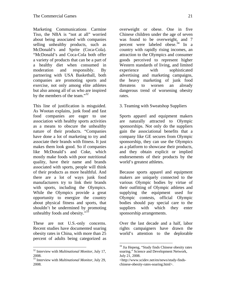Marketing Communications Carmine Tiso, the NBA is "not at all" worried about being associated with companies selling unhealthy products, such as McDonald's and Sprite (Coca-Cola). "McDonald's and Coca-Cola both offer a variety of products that can be a part of a healthy diet when consumed in moderation and responsibly. By partnering with USA Basketball, both companies are promoting sports and exercise, not only among elite athletes but also among all of us who are inspired by the members of the team." $32$ 

This line of justification is misguided. As Wootan explains, junk food and fast food companies are eager to use association with healthy sports activities as a means to obscure the unhealthy nature of their products. "Companies have done a lot of marketing to try and associate their brands with fitness. It just makes them look good. So if companies like McDonald's and Coke, which mostly make foods with poor nutritional quality, have their name and brands associated with sports, people will think of their products as more healthful. And there are a lot of ways junk food manufacturers try to link their brands with sports, including the Olympics. While the Olympics provide a great opportunity to energize the country about physical fitness and sports, that shouldn't be undermined by promoting unhealthy foods and obesity."<sup>3</sup>

These are not U.S.-only concerns. Recent studies have documented soaring obesity rates in China, with more than 25 percent of adults being categorized as

 $\overline{a}$ 

overweight or obese. One in five Chinese children under the age of seven was found to be overweight, and 7 percent were labeled obese.<sup>34</sup> In a country with rapidly rising incomes, an attraction to the Olympics and consumer goods perceived to represent higher Western standards of living, and limited experience with sophisticated advertising and marketing campaigns, the heavy marketing of junk food threatens to worsen an already dangerous trend of worsening obesity rates.

3. Teaming with Sweatshop Suppliers

Sports apparel and equipment makers are naturally attracted to Olympic sponsorships. Not only do the suppliers gain the associational benefits that a company like GE secures from Olympic sponsorship, they can use the Olympics as a platform to showcase their products, and they obtain explicit or implied endorsements of their products by the world's greatest athletes.

Because sports apparel and equipment makers are uniquely connected to the various Olympic bodies by virtue of their outfitting of Olympic athletes and supplying the equipment used for Olympic contests, official Olympic bodies should pay special care to the suppliers with which they enter sponsorship arrangements.

Over the last decade and a half, labor rights campaigners have drawn the world's attention to the deplorable

<sup>32</sup> Interview with *Multinational Monitor*, July 17, 2008.

<sup>33</sup> Interview with *Multinational Monitor*, July 29, 2008.

<sup>&</sup>lt;sup>34</sup> Jia Hepeng, "Study finds Chinese obesity rates soaring." Science and Development Network, July 21, 2008.

<sup>&</sup>lt;http://www.scidev.net/en/news/study-findschinese-obesity-rates-soaring.html>.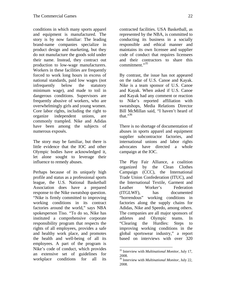conditions in which many sports apparel and equipment is manufactured. The story is by now familiar: The leading brand-name companies specialize in product design and marketing, but they do not manufacture the goods sold under their name. Instead, they contract out production to low-wage manufacturers. Workers in these facilities are frequently forced to work long hours in excess of national standards, paid low wages (not infrequently below the statutory minimum wage), and made to toil in dangerous conditions. Supervisors are frequently abusive of workers, who are overwhelmingly girls and young women. Core labor rights, including the right to organize independent unions, are commonly trampled. Nike and Adidas have been among the subjects of numerous exposés.

The story may be familiar, but there is little evidence that the IOC and other Olympic bodies have acknowledged it, let alone sought to leverage their influence to remedy abuses.

Perhaps because of its uniquely high profile and status as a professional sports league, the U.S. National Basketball Association does have a prepared response to the Nike sweatshop question. "Nike is firmly committed to improving working conditions in its contract factories around the world," says NBA spokesperson Tiso. "To do so, Nike has instituted a comprehensive corporate responsibility program that respects the rights of all employees, provides a safe and healthy work place, and promotes the health and well-being of all its employees. A part of the program is Nike's code of conduct, which provides an extensive set of guidelines for workplace conditions for all its

contracted facilities. USA Basketball, as represented by the NBA, is committed to conducting its business in a socially responsible and ethical manner and maintains its own licensee and supplier code of conduct that requires licensees and their contractors to share this commitment."<sup>35</sup>

By contrast, the issue has not appeared on the radar of U.S. Canoe and Kayak. Nike is a team sponsor of U.S. Canoe and Kayak. When asked if U.S. Canoe and Kayak had any comment or reaction to Nike's reported affiliation with sweatshops, Media Relations Director Bill McMillan said, "I haven't heard of that." $36$ 

There is no shortage of documentation of abuses in sports apparel and equipment supplier subcontractor factories, and international unions and labor rights advocates have directed a whole campaign at the IOC.

The Play Fair Alliance, a coalition organized by the Clean Clothes Campaign (CCC), the International Trade Union Confederation (ITUC), and the International Textile, Garment and Leather Worker's Federation (ITGLWF), has documented "horrendous" working conditions in factories along the supply chains for Adidas, Nike and Speedo, among others. The companies are all major sponsors of athletes and Olympic teams. In "Clearing the Hurdles: Steps to improving working conditions in the global sportswear industry," a report based on interviews with over 320

 $\overline{a}$ 35 Interview with *Multinational Monitor*, July 17, 2008.

<sup>36</sup> Interview with *Multinational Monitor*, July 22, 2008.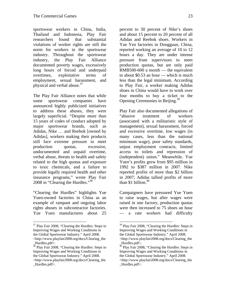sportswear workers in China, India, Thailand and Indonesia, Play Fair researchers found that substantial violations of worker rights are still the norm for workers in the sportswear industry. Throughout the sportswear industry, the Play Fair Alliance documented poverty wages, excessively long hours of forced and underpaid overtimes, exploitative terms of employment, sexual harassment, and physical and verbal abuse.<sup>37</sup>

The Play Fair Alliance notes that while some sportswear companies have announced highly publicized initiatives to address these abuses, they were largely superficial. "Despite more than 15 years of codes of conduct adopted by major sportswear brands, such as Adidas, Nike … and Reebok [owned by Adidas], workers making their products still face extreme pressure to meet production quotas, excessive, undocumented and unpaid overtime, verbal abuse, threats to health and safety related to the high quotas and exposure to toxic chemicals, and a failure to provide legally required health and other insurance programs," wrote Play Fair 2008 in "Clearing the Hurdles."38

"Clearing the Hurdles" highlights Yue Yuen-owned factories in China as an example of rampant and ongoing labor rights abuses in subcontractor factories. Yue Yuen manufactures about 25

percent to 30 percent of Nike's shoes and about 15 percent to 20 percent of all Adidas and Reebok shoes. Workers in Yue Yen factories in Dongguan, China, reported working an average of 10 to 12 hours a day. They are under intense pressure from supervisors to meet production quotas, but are only paid RMB500-600 a month — the equivalent to about \$0.53 an hour — which is much less than the legal minimum. According to Play Fair, a worker making Adidas shoes in China would have to work over four months to buy a ticket to the Opening Ceremonies in Beijing.<sup>39</sup>

Play Fair also documented allegations of "abusive treatment of workers (associated with a militaristic style of management), sexual harassment, forced and excessive overtime, low wages (in many cases, less than the national minimum wage), poor safety standards, unjust employment contracts, limited access to toilets and repression of (independent) union." Meanwhile, Yue Yuen's profits grew from \$95 million in 1992 to \$387 million in 2007. Nike reported profits of more than \$2 billion in 2007; Adidas tallied profits of more than \$1 billion. $40$ 

Campaigners have pressured Yue Yuen to raise wages, but after wages were raised in one factory, production quotas were then increased to 75 shoes an hour — a rate workers had difficulty

<sup>&</sup>lt;sup>37</sup> Play Fair 2008, "Clearing the Hurdles: Steps in Improving Wages and Working Conditions in the Global Sportswear Industry." April 2008. <http://www.playfair2008.org/docs/Clearing\_the Hurdles.pdf>.

<sup>&</sup>lt;sup>38</sup> Play Fair 2008, "Clearing the Hurdles: Steps in Improving Wages and Working Conditions in the Global Sportswear Industry." April 2008. <http://www.playfair2008.org/docs/Clearing\_the Hurdles.pdf>.

<sup>&</sup>lt;sup>39</sup> Play Fair 2008, "Clearing the Hurdles: Steps in Improving Wages and Working Conditions in the Global Sportswear Industry." April 2008. <http://www.playfair2008.org/docs/Clearing\_the Hurdles.pdf>.

<sup>&</sup>lt;sup>40</sup> Play Fair 2008, "Clearing the Hurdles: Steps in Improving Wages and Working Conditions in the Global Sportswear Industry." April 2008. <http://www.playfair2008.org/docs/Clearing\_the Hurdles.pdf>.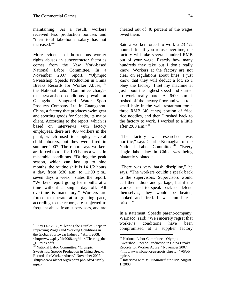maintaining. As a result, workers received less production bonuses and "their total take-home salary has not increased."<sup>41</sup>

More evidence of horrendous worker rights abuses in subcontractor factories comes from the New York-based National Labor Committee. In a November 2007 report, "Olympic Sweatshop: Speedo Production in China Breaks Records for Worker Abuse,"<sup>42</sup> the National Labor Committee charges that sweatshop conditions prevail at Guangzhou Vanguard Water Sport Products Company Ltd in Guangzhou, China, a factory that produces swim gear and sporting goods for Speedo, its major client. According to the report, which is based on interviews with factory employees, there are 400 workers in the plant, which used to employ several child laborers, but they were fired in summer 2007. The report says workers are forced to toil for 100 hours a week in miserable conditions. "During the peak season, which can last up to nine months, the routine shift is 14 1/2 hours a day, from 8:30 a.m. to 11:00 p.m., seven days a week," states the report. "Workers report going for months at a time without a single day off. All overtime is mandatory." Workers are forced to operate at a grueling pace, according to the report, are subjected to frequent abuse from supervisors, and are

 $\overline{a}$ 

cheated out of 40 percent of the wages owed them.

Said a worker forced to work a 23 1/2 hour shift: "If you refuse overtime, the factory will take several hundred RMB out of your wage. Exactly how many hundreds they take out I don't really know. Workers at the factory are not clear on regulations about fines. I just know that they will deduct a lot, so I obey the factory. I set my machine at just about the highest speed and started to work really hard. At 6:00 p.m. I rushed off the factory floor and went to a small hole in the wall restaurant for a three RMB (40 cents) portion of fried rice noodles, and then I rushed back to the factory to work. I worked to a little after 2:00 a.m."<sup>43</sup>

"The factory we researched was horrific," says Charlie Kernaghan of the National Labor Committee.<sup>44</sup> "Every" single labor law in China was being blatantly violated."

"There was very harsh discipline," he says. "The workers couldn't speak back to the supervisors. Supervisors would call them idiots and garbage, but if the worker tried to speak back or defend themselves, they would be beaten, choked and fired. It was run like a prison."

In a statement, Speedo parent-company, Warnaco, said: "We sincerely regret that worker's conditions have been compromised at a supplier factory

<sup>41</sup> Play Fair 2008, "Clearing the Hurdles: Steps in Improving Wages and Working Conditions in the Global Sportswear Industry." April 2008. <http://www.playfair2008.org/docs/Clearing\_the

Hurdles.pdf>.

<sup>&</sup>lt;sup>42</sup> National Labor Committee, "Olympic Sweatshop: Speedo Production in China Breaks Records for Worker Abuse." November 2007. <http://www.nlcnet.org/reports.php?id=470#oly mpic>.

<sup>43</sup> National Labor Committee, "Olympic Sweatshop: Speedo Production in China Breaks Records for Worker Abuse." November 2007. <http://www.nlcnet.org/reports.php?id=470#oly mpic>.

<sup>44</sup> Interview with *Multinational Monitor*, August 1, 2008.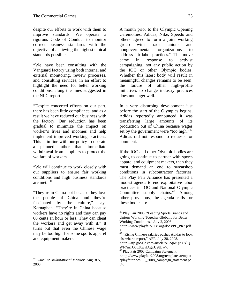despite our efforts to work with them to improve standards. We operate a rigorous Code of Conduct to monitor correct business standards with the objective of achieving the highest ethical standards possible.

"We have been consulting with the Vanguard factory using both internal and external monitoring, review processes, and consulting services, in an effort to highlight the need for better working conditions, along the lines suggested in the NLC report.

"Despite concerted efforts on our part, there has been little compliance, and as a result we have reduced our business with the factory. Our reduction has been gradual to minimize the impact on worker's lives and incomes and help implement improved working practices. This is in line with our policy to operate a planned rather than immediate withdrawal from suppliers to protect the welfare of workers.

"We will continue to work closely with our suppliers to ensure fair working conditions and high business standards are met."<sup>45</sup>

"They're in China not because they love the people of China and they're fascinated by the culture," says Kernaghan. "They're in China because workers have no rights and they can pay 60 cents an hour or less. They can cheat the workers and get away with it." It turns out that even the Chinese wage may be too high for some sports apparel and equipment makers.

 $\overline{a}$ 

A month prior to the Olympic Opening Ceremonies, Adidas, Nike, Speedo and others agreed to form a joint working group with trade unions and nongovernmental organizations to address fair labor practices.46 This move came in response to activist campaigning, not any public action by the IOC or other Olympic bodies. Whether this latest body will result in meaningful changes remains to be seen; the failure of other high-profile initiatives to change industry practices does not auger well.

In a very disturbing development just before the start of the Olympics begins, Adidas reportedly announced it was transferring large amounts of its production out of China because wages set by the government were "too high."<sup>47</sup> Adidas did not respond to requests for comment.

If the IOC and other Olympic bodies are going to continue to partner with sports apparel and equipment makers, then they must demand an end to sweatshop conditions in subcontractor factories. The Play Fair Alliance has presented a modest agenda to end exploitative labor practices in IOC and National Olympic Committee supply chains.<sup>48</sup> Among other provisions, the agenda calls for these bodies to:

<sup>45</sup> E-mail to *Multinational Monitor*, August 5, 2008.

 $\overline{a}$ 46 Play Fair 2008, "Leading Sports Brands and Unions Working Together Globally for Better Working Conditions." July 2, 2008.

<sup>&</sup>lt;http://www.playfair2008.org/docs/PF\_PR7.pdf >.

<sup>&</sup>lt;sup>47</sup> "Rising Chinese salaries pushes Adidas to look elsewhere: report," AFP. July 28, 2008. <http://afp.google.com/article/ALeqM5jKGxlQ

WF7mTO3L8twylAgjrUe8Lw>. <sup>48</sup> Play Fair 2008 Campaign Statement.

<sup>&</sup>lt;http://www.playfair2008.org/templates/templat eplayfair/docs/PF\_2008\_campaign\_statement.pd f>.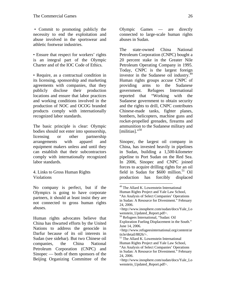• Commit to promoting publicly the necessity to end the exploitation and abuse involved in the sportswear and athletic footwear industries.

• Ensure that respect for workers' rights is an integral part of the Olympic Charter and of the IOC Code of Ethics.

• Require, as a contractual condition in its licensing, sponsorship and marketing agreements with companies, that they publicly disclose their production locations and ensure that labor practices and working conditions involved in the production of NOC and OCOG branded products comply with internationally recognized labor standards.

The basic principle is clear: Olympic bodies should not enter into sponsorship, licensing or other partnership arrangements with apparel and equipment makers unless and until they can establish that their subcontractors comply with internationally recognized labor standards.

4. Links to Gross Human Rights Violations

No company is perfect, but if the Olympics is going to have corporate partners, it should at least insist they are not connected to gross human rights abuses.

Human rights advocates believe that China has thwarted efforts by the United Nations to address the genocide in Darfur because of its oil interests in Sudan (see sidebar). But two Chinese oil companies, the China National Petroleum Corporation (CNPC) and Sinopec — both of them sponsors of the Beijing Organizing Committee of the

Olympic Games — are directly connected to large-scale human rights abuses in Sudan.

The state-owned China National Petroleum Corporation (CNPC) bought a 20 percent stake in the Greater Nile Petroleum Operating Company in 1995. Today, CNPC is the largest foreign investor in the Sudanese oil industry.<sup>49</sup> Human rights groups accuse CNPC of providing arms to the Sudanese government. Refugees International reported that "Working with the Sudanese government to obtain security and the rights to drill, CNPC contributes Chinese-made tanks, fighter planes, bombers, helicopters, machine guns and rocket-propelled grenades, firearms and ammunition to the Sudanese military and [militias]."<sup>50</sup>

Sinopec, the largest oil company in China, has invested heavily in pipelines in Sudan, building a 1,500-kilometer pipeline to Port Sudan on the Red Sea. In 2006, Sinopec and CNPC joined forces to acquire drilling rights for an oil field in Sudan for  $$600$  million.<sup>51</sup> Oil production has forcibly displaced

<sup>&</sup>lt;sup>49</sup> The Allard K. Lowenstein International

Human Rights Project and Yale Law School, "An Analysis of Select Companies' Operations

in Sudan: A Resource for Divestment." February 24, 2006.

<sup>&</sup>lt;http://www.inosphere.com/sudan/docs/Yale\_Lo wenstein\_Updated\_Report.pdf>.

<sup>&</sup>lt;sup>50</sup> Refugees International, "Sudan: Oil

Exploration Fueling Displacement in the South." June 14, 2006.

<sup>&</sup>lt;http://www.refugeesinternational.org/content/ar ticle/detail/8826/>.

<sup>&</sup>lt;sup>51</sup> The Allard K. Lowenstein International Human Rights Project and Yale Law School,

<sup>&</sup>quot;An Analysis of Select Companies' Operations in Sudan: A Resource for Divestment." February 24, 2006.

<sup>&</sup>lt;http://www.inosphere.com/sudan/docs/Yale\_Lo wenstein\_Updated\_Report.pdf>.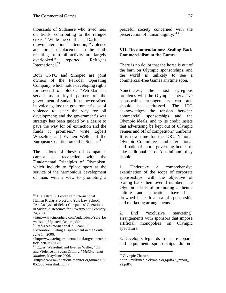thousands of Sudanese who lived near oil fields, contributing to the refugee crisis.52 While the conflict in Darfur has drawn international attention, "violence and forced displacement in the south resulting from oil activity are largely overlooked," reported Refugees International.53

Both CNPC and Sinopec are joint owners of the Petrodar Operating Company, which holds developing rights for several oil blocks. "Petrodar has served as a loyal partner of the government of Sudan. It has never raised its voice against the government's use of violence to clear the way for oil development; and the government's war strategy has been guided by a desire to pave the way for oil extraction and the funds it promises," write Egbert Wesselink and Evelien Weller of the European Coalition on Oil in Sudan.<sup>54</sup>

The actions of these oil companies cannot be reconciled with the Fundamental Principles of Olympism, which include to "place sport at the service of the harmonious development of man, with a view to promoting a

 $\overline{a}$ 

peaceful society concerned with the preservation of human dignity."55

# **VII. Recommendations: Scaling Back Commercialism at the Games**

There is no doubt that the horse is out of the barn on Olympic sponsorships, and the world is unlikely to see a commercial-free Games anytime soon.

Nonetheless, the most egregious problems with the Olympics' pervasive sponsorship arrangements can and should be addressed. The IOC acknowledges the tension between commercial sponsorships and the Olympic ideals, and to its credit insists that advertising be kept out of Olympic venues and off of competitors' uniforms. It is now time for the IOC, National Olympic Committees, and international and national sports governing bodies to take additional steps. At minimum, they should:

1. Undertake a comprehensive examination of the scope of corporate sponsorships, with the objective of scaling back their overall number. The Olympic ideals of promoting authentic culture and education have been drowned beneath a sea of sponsorship and marketing arrangements.

3. Develop safeguards to ensure apparel and equipment sponsorships do not

<sup>&</sup>lt;sup>52</sup> The Allard K. Lowenstein International

Human Rights Project and Yale Law School, "An Analysis of Select Companies' Operations in Sudan: A Resource for Divestment." February 24, 2006.

<sup>&</sup>lt;http://www.inosphere.com/sudan/docs/Yale\_Lo wenstein\_Updated\_Report.pdf>.

<sup>53</sup> Refugees International. "Sudan: Oil

Exploration Fueling Displacement in the South." June 14, 2006.

<sup>&</sup>lt;http://www.refugeesinternational.org/content/ar ticle/detail/8826/>.

<sup>54</sup> Egbert Wesselink and Evelien Weller, "Oil and Violence in Sudan Drilling." *Multinational Monitor*, May/June 2006.

<sup>&</sup>lt;http://www.multinationalmonitor.org/mm2006/ 052006/wesselink.html>.

<sup>2.</sup> End "exclusive marketing" arrangements with sponsors that impose artificial monopolies on Olympic spectators.

<sup>55</sup> Olympic Charter.

<sup>&</sup>lt;http://multimedia.olympic.org/pdf/en\_report\_1 22.pdf>.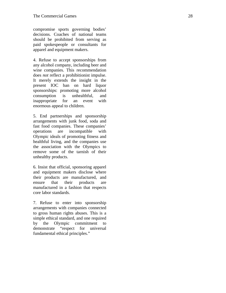compromise sports governing bodies' decisions. Coaches of national teams should be prohibited from serving as paid spokespeople or consultants for apparel and equipment makers.

4. Refuse to accept sponsorships from any alcohol company, including beer and wine companies. This recommendation does *not* reflect a prohibitionist impulse. It merely extends the insight in the present IOC ban on hard liquor sponsorships: promoting more alcohol consumption is unhealthful, and inappropriate for an event with enormous appeal to children.

5. End partnerships and sponsorship arrangements with junk food, soda and fast food companies. These companies' operations are incompatible with Olympic ideals of promoting fitness and healthful living, and the companies use the association with the Olympics to remove some of the tarnish of their unhealthy products.

6. Insist that official, sponsoring apparel and equipment makers disclose where their products are manufactured, and ensure that their products are manufactured in a fashion that respects core labor standards.

7. Refuse to enter into sponsorship arrangements with companies connected to gross human rights abuses. This is a simple ethical standard, and one required by the Olympic commitment to demonstrate "respect for universal fundamental ethical principles."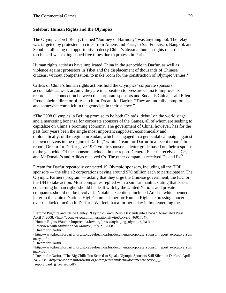# **Sidebar: Human Rights and the Olympics**

The Olympic Torch Relay, themed "Journey of Harmony" was anything but. The relay was targeted by protesters in cities from Athens and Paris, to San Francisco, Bangkok and Seoul — all using the opportunity to decry China's abysmal human rights record. The torch itself was extinguished five times due to protests in Paris.<sup>1</sup>

Human rights activists have implicated China in the genocide in Darfur, as well as violence against protestors in Tibet and the displacement of thousands of Chinese citizens, without compensation, to make room for the construction of Olympic venues.<sup>2</sup>

Critics of China's human rights actions hold the Olympics' corporate sponsors accountable as well, arguing they are in a position to pressure China to improve its record. "The connection between the corporate sponsors and Sudan is China," said Ellen Freudenheim, director of research for Dream for Darfur. "They are morally compromised and somewhat complicit in the genocide in their silence.<sup>33</sup>

"The 2008 Olympics in Beijing promise to be both China's 'debut' on the world stage and a marketing bonanza for corporate sponsors of the Games, all of whom are seeking to capitalize on China's booming economy. The government of China, however, has for the past four years been the single most important supporter, economically and diplomatically, of the regime in Sudan, which is engaged in a genocidal campaign against its own citizens in the region of Darfur," wrote Dream for Darfur in a recent report.<sup>4</sup> In its report, Dream for Darfur gave 19 Olympic sponsors a letter grade based on their response to the genocide. Of the sponsors included in the report, General Electric received a C+, and McDonald's and Adidas received Cs. The other companies received Ds and Fs.<sup>5</sup>

Dream for Darfur repeatedly contacted 19 Olympic sponsors, including all the TOP sponsors — the elite 12 corporations paying around \$70 million each to participate in The Olympic Partners program — asking that they urge the Chinese government, the IOC or the UN to take action. Most companies replied with a similar mantra, stating that issues concerning human rights should be dealt with by the United Nations and private companies should not be involved.<sup>6</sup> Notable exceptions included Adidas, which penned a letter to the United Nations High Commissioner for Human Rights expressing concern over the lack of action in Darfur. "We feel that a further delay in implementing the

<sup>&</sup>lt;sup>1</sup> Jerome Pugmire and Elaine Ganley, "Olympic Torch Relay Descends into Chaos." Associated Press, April 7, 2008. <http://abcnews.go.com/International/wireStory?id=4601704>.

<sup>&</sup>lt;sup>2</sup> Human Rights Watch. <http://china.hrw.org/press/faq/beijing\_olympics\_basics>.

<sup>&</sup>lt;sup>3</sup> Interview with *Multinational Monitor*, July 21, 2008.

Dream for Darfur.

<sup>&</sup>lt;http://www.dreamfordarfur.org/storage/dreamdarfur/documents/corporate\_sponsor\_report\_executive\_sum mary.pdf>.

<sup>&</sup>lt;sup>5</sup> Dream for Darfur.

<sup>&</sup>lt;http://www.dreamfordarfur.org/storage/dreamdarfur/documents/corporate\_sponsor\_report\_executive\_sum mary.pdf>.

<sup>&</sup>lt;sup>6</sup> Dream for Darfur, "The Big Chill: Too Scared to Speak, Olympic Sponsors Still Silent on Darfur." April 24, 2008. <http://www.dreamfordarfur.org/storage/dreamdarfur/documents/section\_i\_-

\_report\_card\_jj\_revised.pdf>.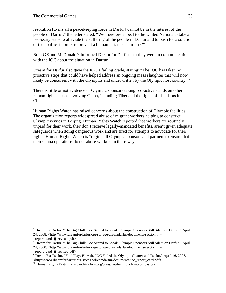#### The Commercial Games 30

resolution [to install a peacekeeping force in Darfur] cannot be in the interest of the people of Darfur," the letter stated. "We therefore appeal to the United Nations to take all necessary steps to alleviate the suffering of the people in Darfur and to push for a solution of the conflict in order to prevent a humanitarian catastrophe."7

Both GE and McDonald's informed Dream for Darfur that they were in communication with the IOC about the situation in Darfur. $8<sup>8</sup>$ 

Dream for Darfur also gave the IOC a failing grade, stating: "The IOC has taken no proactive steps that could have helped address an ongoing mass slaughter that will now likely be concurrent with the Olympics and underwritten by the Olympic host country."<sup>9</sup>

There is little or not evidence of Olympic sponsors taking pro-active stands on other human rights issues involving China, including Tibet and the rights of dissidents in China.

Human Rights Watch has raised concerns about the construction of Olympic facilities. The organization reports widespread abuse of migrant workers helping to construct Olympic venues in Beijing. Human Rights Watch reported that workers are routinely unpaid for their work, they don't receive legally-mandated benefits, aren't given adequate safeguards when doing dangerous work and are fired for attempts to advocate for their rights. Human Rights Watch is "urging all Olympic sponsors and partners to ensure that their China operations do not abuse workers in these ways."<sup>10</sup>

<sup>&</sup>lt;sup>7</sup> Dream for Darfur, "The Big Chill: Too Scared to Speak, Olympic Sponsors Still Silent on Darfur." April 24, 2008. <http://www.dreamfordarfur.org/storage/dreamdarfur/documents/section\_i\_- \_report\_card\_jj\_revised.pdf>.

<sup>&</sup>lt;sup>8</sup> Dream for Darfur, "The Big Chill: Too Scared to Speak, Olympic Sponsors Still Silent on Darfur." April 24, 2008. <http://www.dreamfordarfur.org/storage/dreamdarfur/documents/section\_i\_-

\_report\_card\_jj\_revised.pdf>. 9 Dream For Darfur, "Foul Play: How the IOC Failed the Olympic Charter and Darfur." April 16, 2008. <http://www.dreamfordarfur.org/storage/dreamdarfur/documents/ioc\_report\_card.pdf>.

<sup>&</sup>lt;sup>10</sup> Human Rights Watch. <http://china.hrw.org/press/faq/beijing\_olympics\_basics>.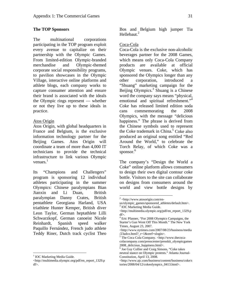#### **The TOP Sponsors**

The multinational corporations participating in the TOP program exploit every avenue to capitalize on their partnership with the Olympic Games. From limited-edition Olympic-branded merchandise and Olympic-themed corporate social responsibility programs, to pavilion showcases in the Olympic Village, interactive online platforms and athlete blogs, each company works to capture consumer attention and ensure their brand is associated with the ideals the Olympic rings represent — whether or not they live up to these ideals in practice.

## Atos Origin

Atos Origin, with global headquarters in France and Belgium, is the exclusive information technology partner for the Beijing Games. Atos Origin will coordinate a team of more than 4,000 IT technicians to provide the technical infrastructure to link various Olympic venues. $<sup>1</sup>$ </sup>

Its "Champions and Challengers" program is sponsoring 12 individual athletes participating in the summer Olympics: Chinese paralympians Bian Jianxin and Li Duan, British paralympian Danny Crates, British pentathlete Georgiana Harland, USA triathlete Hunter Kemper, British diver Leon Taylor, German heptathlete Lilli Schwarzkopf, German canoeist Nicole Reinhardt, Spanish speed walker Paquillo Fernández, French judo athlete Teddy Riner, Dutch track cyclist Theo

<u>.</u>

Bos and Belgium high jumper Tia Hellebaut.<sup>2</sup>

# Coca-Cola

Coca-Cola is the exclusive non-alcoholic beverages partner for the 2008 Games, which means only Coca-Cola Company products are available at official Olympic venues. Coke, which has sponsored the Olympics longer than any other corporation, introduced a "Shuang" marketing campaign for the Beijing Olympics.<sup>3</sup> Shuang is a Chinese word the company says means "physical, emotional and spiritual refreshment."<sup>4</sup> Coke has released limited edition soda cans commemorating the 2008 Olympics, with the message "delicious happiness." The phrase is derived from the Chinese symbols used to represent the Coke trademark in China.<sup>5</sup> Coke also produced an original song entitled "Red Around the World," to celebrate the Torch Relay, of which Coke was a sponsor.<sup>6</sup>

The company's "Design the World a Coke" online platform allows consumers to design their own digital contour coke bottle. Visitors to the site can collaborate on designs from consumers around the world and view bottle designs by

<sup>&</sup>lt;sup>1</sup> IOC Marketing Media Guide.

<sup>&</sup>lt;http://multimedia.olympic.org/pdf/en\_report\_1329.p df>.

<sup>&</sup>lt;u>.</u>  $2$  <http://www.atosorigin.com/en-

us/olympic\_games/sponsored\_athletes/default.htm>. <sup>3</sup> IOC Marketing Media Guide.

<sup>&</sup>lt;http://multimedia.olympic.org/pdf/en\_report\_1329.p df>.

<sup>&</sup>lt;sup>4</sup> Eric Pfanner, "For 2008 Olympics Campaigns, the Starter's Gun Went Off This Month." The New York Times, August 23, 2007.

<sup>&</sup>lt;http://www.nytimes.com/2007/08/23/business/media /23adco.html?\_r=1&oref=slogin>.

<sup>5</sup> The Coca Cola Company. <http://www.thecocacolacompany.com/presscenter/presskit\_olympicgames 2008\_delicious\_happiness.html>.

<sup>&</sup>lt;sup>6</sup> Joe Guy Collier and Craig Simons, "Coke takes neutral stance on Olympic protests." Atlanta Journal-Constitution, April 13, 2008.

<sup>&</sup>lt;http://www.ajc.com/business/content/business/coke/s tories/2008/04/12/cokeolympics\_0413.html>.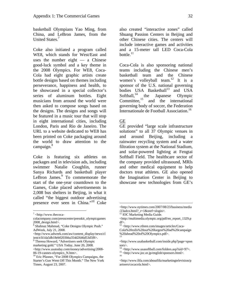basketball Olympians Yao Ming, from China, and LeBron James, from the United States.<sup>7</sup>

Coke also initiated a program called WE8, which stands for West/East and uses the number eight — a Chinese good-luck symbol and a key theme in the 2008 Olympics. For WE8, Coca-Cola had eight graphic artists create bottle designs based on themes including perseverance, happiness and health, to be showcased in a special collector's series of aluminum bottles. Eight musicians from around the world were then asked to compose songs based on the designs. The designs and songs will be featured in a music tour that will stop in eight international cities, including London, Paris and Rio de Janeiro. The URL to a website dedicated to WE8 has been printed on Coke packaging around the world to draw attention to the campaign.<sup>8</sup>

Coke is featuring six athletes on packages and in television ads, including swimmer Natalie Coughlin, runner Sanya Richards and basketball player LeBron James.<sup>9</sup> To commemorate the start of the one-year countdown to the Games, Coke placed advertisements in 2,008 bus shelters in Beijing, in what it called "the biggest outdoor advertising presence ever seen in China."10 Coke

1

also created "interactive zones" called Shuang Passion Centers in Beijing and other Chinese cities. The centers will include interactive games and activities and a 15-meter tall LED Coca-Cola bottle. $^{11}$ 

Coca-Cola is also sponsoring national teams including the Chinese men's basketball team and the Chinese women's volleyball team.<sup>12</sup> It is a sponsor of the U.S. national governing bodies USA Basketball<sup>13</sup> and USA Softball, $^{14}$  the Japanese Olympic<br>Committee, $^{15}$  and the international and the international governing body of soccer, the Federation Internationale de Football Association.<sup>16</sup>

#### GE

 $\overline{a}$ 

GE provided "large scale infrastructure solutions" to all 37 Olympic venues in and around Beijing, including a rainwater recycling system and a water filtration system at the National Stadium, and solar-powered lighting at Fengtai Softball Field. The healthcare sector of the company provided ultrasound, MRIs and other medical equipment to help doctors treat athletes. GE also opened the Imagination Center in Beijing to showcase new technologies from GE's

 $7$  <http://www.thecoca-

colacompany.com/presscenter/presskit\_olympicgames 2008\_design.html>.

<sup>8</sup> Shahnaz Mahmud, "Coke Designs Olympic Push." AdWeek, July 21, 2008.

<sup>&</sup>lt;http://www.adweek.com/aw/content\_display/news/cl ient/e3i1da5db18eb0203bba354d2646d53d5f8>.

<sup>&</sup>lt;sup>9</sup> Theresa Howard, "Advertisers seek Olympic marketing gold." USA Today, June 20, 2008.

<sup>&</sup>lt;http://www.usatoday.com/money/advertising/2008- 06-19-cannes-olympics\_N.htm>.

<sup>10</sup> Eric Pfanner, "For 2008 Olympics Campaigns, the Starter's Gun Went Off This Month." The New York Times, August 23, 2007.

<sup>&</sup>lt;http://www.nytimes.com/2007/08/23/business/media /23adco.html?\_r=1&oref=slogin>.

<sup>&</sup>lt;sup>11</sup> IOC Marketing Media Guide.

<sup>&</sup>lt;http://multimedia.olympic.org/pdf/en\_report\_1329.p df>.

<sup>12 &</sup>lt;http://www.rthree.com/images/articles/Coca-Cola%20rolls%20out%20largest%20ad%20campaign %20ahead%20of%20Olympics.pdf>. 13

<sup>&</sup>lt;http://www.usabasketball.com/inside.php?page=spon sors>.<br><sup>14</sup> <http://www.usasoftball.com/folders.asp?uid=97>.

 $15$   $\frac{15}{16}$   $\frac{12}{16}$   $\frac{12}{16}$   $\frac{12}{16}$   $\frac{12}{16}$   $\frac{12}{16}$   $\frac{12}{16}$   $\frac{12}{16}$   $\frac{12}{16}$   $\frac{12}{16}$   $\frac{12}{16}$   $\frac{12}{16}$   $\frac{12}{16}$   $\frac{12}{16}$   $\frac{12}{16}$   $\frac{12}{16}$   $\frac{12}{16}$   $\frac{12}{16}$ 

<sup>&</sup>lt;http://www.fifa.com/aboutfifa/marketingtelevision/p artners/cocacola.html>.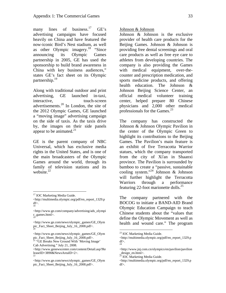many lines of business.<sup>17</sup>  $GE's$ advertising campaigns have focused heavily on China and have featured the now-iconic Bird's Nest stadium, as well as other Olympic imagery.18 "Since announcing its Olympic Games partnership in 2005, GE has used the sponsorship to build brand awareness in China with key business audiences," states GE's fact sheet on its Olympic partnership.<sup>19</sup>

Along with traditional outdoor and print advertising, GE launched in-taxi, interactive. touch-screen advertisements.20 In London, the site of the 2012 Olympic Games, GE launched a "moving image" advertising campaign on the side of taxis. As the taxis drive by, the images on their side panels appear to be animated. $2<sup>1</sup>$ 

GE is the parent company of NBC Universal, which has exclusive media rights in the United States, and is one of the main broadcasters of the Olympic Games around the world, through its family of television stations and its website.<sup>22</sup>

1

Johnson & Johnson

Johnson & Johnson is the exclusive provider of health care products for the Beijing Games. Johnson & Johnson is providing free dental screenings and oral care products as well as free eye care to athletes from developing countries. The company is also providing the Games with medical equipment, over-thecounter and prescription medication, and sports medicine products, and offering health education. The Johnson & Johnson Beijing Science Center, an official medical volunteer training center, helped prepare 80 Chinese physicians and 2,000 other medical professionals for the Games. $^{23}$ 

The company has constructed the Johnson & Johnson Olympic Pavilion in the center of the Olympic Green to highlight its contributions to the Beijing Games. The Pavilion's main feature is an exhibit of five Terracotta Warrior statues, which the company transported from the city of Xi'an in Shaanxi province. The Pavilion is surrounded by bamboo to create a "passive, sustainable cooling system."<sup>24</sup> Johnson & Johnson will further highlight the Terracotta Warriors through a performance featuring 22-foot marionette dolls. $^{25}$ 

The company partnered with the BOCOG to initiate a BAND-AID Brand Olympic Education Campaign to teach Chinese students about the "values that define the Olympic Movement as well as health and wound care." The program

<sup>&</sup>lt;sup>17</sup> IOC Marketing Media Guide.

<sup>&</sup>lt;http://multimedia.olympic.org/pdf/en\_report\_1329.p df>. 18

<sup>&</sup>lt;http://www.ge.com/company/advertising/ads\_olympi c\_games.html>. 19

<sup>&</sup>lt;http://www.ge.com/news/olympic\_games/GE\_Olym pic\_Fact\_Sheet\_Beijing\_July\_16\_2008.pdf>. 20

<sup>&</sup>lt;http://www.ge.com/news/olympic\_games/GE\_Olym pic\_Fact\_Sheet\_Beijing\_July\_16\_2008.pdf>.

<sup>&</sup>lt;sup>21</sup> "GE Breaks New Ground With 'Moving Image' Cab Advertising." July 21, 2008.

<sup>&</sup>lt;http://www.genewscenter.com/content/Detail.asp?Re leaseID=3890&NewsAreaID=2>. 22

<sup>&</sup>lt;http://www.ge.com/news/olympic\_games/GE\_Olym pic\_Fact\_Sheet\_Beijing\_July\_16\_2008.pdf>.

<sup>23</sup> IOC Marketing Media Guide.

<sup>&</sup>lt;http://multimedia.olympic.org/pdf/en\_report\_1329.p df>. 24

<sup>&</sup>lt;http://www.jnj.com.cn/olympics/en/pavilion/pavilion \_design\_en.html>.

 $25$  IOC Marketing Media Guide.

<sup>&</sup>lt;http://multimedia.olympic.org/pdf/en\_report\_1329.p df>.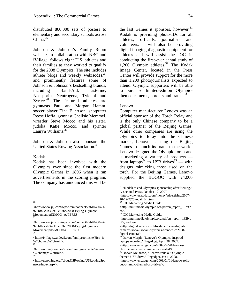distributed 800,000 sets of posters to elementary and secondary schools across China.<sup>26</sup>

Johnson & Johnson's Family Room website, in collaboration with NBC and iVillage, follows eight U.S. athletes and their families as they worked to qualify for the 2008 Olympics. The site includes athlete blogs and weekly webisodes, $27$ and prominently features some of Johnson & Johnson's bestselling brands, including Band-Aid, Listerine, Neosporin, Neutrogena, Tylenol and Zyrtec. $28$  The featured athletes are gymnasts Paul and Morgan Hamm, soccer player Tina Ellertson, shotputter Reese Hoffa, gymnast Chellsie Memmel, wrestler Steve Mocco and his sister, judoka Katie Mocco, and sprinter Lauryn Williams.<sup>29</sup>

Johnson & Johnson also sponsors the United States Rowing Association.<sup>30</sup>

#### Kodak

Kodak has been involved with the Olympics ever since the first modern Olympic Games in 1896 when it ran advertisements in the scoring program. The company has announced this will be

<sup>26</sup>

the last Games it sponsors, however.<sup>31</sup> Kodak is providing photo-IDs for all athletes, officials, journalists and volunteers. It will also be providing digital imaging diagnostic equipment for athletes and will assist the IOC in conducting the first-ever dental study of 1,200 Olympic athletes. $32$  The Kodak Image Center, located in the Press Center will provide support for the more than 1,200 photojournalists expected to attend. Olympic supporters will be able to purchase limited-edition Olympicthemed cameras, borders and frames.<sup>33</sup>

#### Lenovo

 $\overline{a}$ 

Computer manufacturer Lenovo was an official sponsor of the Torch Relay and is the only Chinese company to be a global partner of the Beijing Games. While other companies are using the Olympics to foray into the Chinese market, Lenovo is using the Beijing Games to launch its brand to the world. Lenovo designed the Olympic torch and is marketing a variety of products from laptops<sup>34</sup> to USB drives<sup>35</sup> — with designs mimicking those used on the torch. For the Beijing Games, Lenovo supplied the BOGOC with 24,000

<sup>&</sup>lt;http://www.jnj.com/wps/wcm/connect/2ab40400496 978bfb3c2b32cf10e83bd/2008-Bejing-Olympic-Movement.pdf?MOD=AJPERES>.

<sup>&</sup>lt;http://www.jnj.com/wps/wcm/connect/2ab40400496 978bfb3c2b32cf10e83bd/2008-Bejing-Olympic-Movement.pdf?MOD=AJPERES>.

<sup>&</sup>lt;http://ivillage.waidev5.com/familyroom/site/?ice=iv %7chomep%7cfrmin>. 29

<sup>&</sup>lt;http://ivillage.waidev5.com/familyroom/site/?ice=iv %7chomep%7cfrmin>. 30

<sup>&</sup>lt;http://usrowing.org/AboutUSRowing/USRowingSpo nsors/index.aspx>.

<sup>&</sup>lt;sup>31</sup> "Kodak to end Olympics sponsorship after Beijing," Associated Press. October 12, 2007.

<sup>&</sup>lt;http://www.usatoday.com/money/advertising/2007- 10-12-%20kodak\_N.htm>.

<sup>32</sup> IOC Marketing Media Guide.

<sup>&</sup>lt;http://multimedia.olympic.org/pdf/en\_report\_1329.p df>.

<sup>33</sup> IOC Marketing Media Guide.

<sup>&</sup>lt;http://multimedia.olympic.org/pdf/en\_report\_1329.p df>, and see

<sup>&</sup>lt;http://digitalcameras.techfresh.net/news/digitalcameras/kodak/kodak-olympics-branded-m2008 digital-camera/>.

<sup>34</sup> Darren Murph, "Lenovo's Olympics-inspired laptops revealed." Engadget, April 28, 2007. <http://www.engadget.com/2007/04/28/lenovosolympics-inspired-thinkpads-revealed/>.

<sup>&</sup>lt;sup>35</sup> Donald Melanson, "Lenovo rolls out Olympicthemed USB drive." Engadget, Jan 1, 2008. <http://www.engadget.com/2008/01/01/lenovo-rollsout-olympic-themed-usb-drive/>.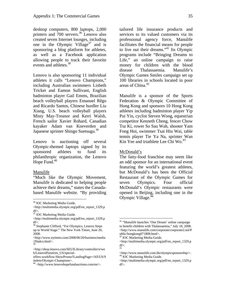desktop computers, 800 laptops, 2,000 printers and 700 servers.<sup>36</sup> Lenovo also created seven Internet lounges, including one in the Olympic Village<sup>37</sup> and is sponsoring a blog platform for athletes, as well as a Facebook application allowing people to track their favorite events and athletes.<sup>38</sup>

Lenovo is also sponsoring 11 individual athletes it calls "Lenovo Champions," including Australian swimmers Lisbeth Tricket and Eamon Sullivant, English badminton player Gail Emms, Brazilian beach volleyball players Emanuel Rêgo and Ricardo Santos, Chinese hurdler Liu Xiang, U.S. beach volleyball players Misty May-Treanor and Kerri Walsh, French sailor Xavier Rohard, Canadian kayaker Adam van Koeverden and Japanese sprinter Shingo Suetsugu.<sup>39</sup>

Lenovo is auctioning off several Olympic-themed laptops signed by its sponsored athletes to fund its philanthropic organization, the Lenovo Hope Fund. $40$ 

#### Manulife

 $\overline{a}$ 

"Much like the Olympic Movement, Manulife is dedicated to helping people achieve their dreams," states the Canadabased Manulife website. "By providing tailored life insurance products and services to its valued customers via its professional agency force, Manulife facilitates the financial means for people to live out their dreams."<sup>41</sup> Its Olympic programs include "Bringing Dreams to Life," an online campaign to raise money for children with the blood disease Thalassaemia. Manulife's Olympic Games Smiles campaign set up 100 libraries in schools located in poor areas of China.<sup>42</sup>

Manulife is a sponsor of the Sports Federation & Olympic Committee of Hong Kong and sponsors 10 Hong Kong athletes including badminton player Yip Pui Yin, cyclist Steven Wong, equestrian competitor Kenneth Cheng, fencer Chow Tsz Ki, rower So Sau Wah, shooter Yam Fong Hoi, swimmer Tsai Hiu Wai, table tennis player Tie Ya Na, sprinter Wan Kin Yee and triathlete Lee Chi Wo. $43$ 

#### McDonald's

1

The fatty-food franchise may seem like an odd sponsor for an international event featuring the world's greatest athletes, but McDonald's has been the Official Restaurant of the Olympic Games for seven Olympics. Four official McDonald's Olympic restaurants were opened in Beijing, including one in the Olympic Village. $44$ 

<sup>36</sup> IOC Marketing Media Guide.

<sup>&</sup>lt;http://multimedia.olympic.org/pdf/en\_report\_1329.p df>.

<sup>&</sup>lt;sup>37</sup> IOC Marketing Media Guide.

<sup>&</sup>lt;http://multimedia.olympic.org/pdf/en\_report\_1329.p df>.

<sup>38</sup> Stephanie Clifford, "For Olympics, Lenovo Steps up to World Stage." The New York Times, June 20, 2008.

<sup>&</sup>lt;http://www.nytimes.com/2008/06/20/business/media /20adco.html>. 39

<sup>&</sup>lt;http://shop.lenovo.com/SEUILibrary/controller/e/we b/LenovoPortal/en\_US/special-

offers.workflow:ShowPromo?LandingPage=/All/US/S itelets/Olympic-Champions>.

<sup>40 &</sup>lt;http://www.lenovohopefundauctions.com/en/>.

<sup>&</sup>lt;sup>41</sup> "Manulife launches 'One Dream' online campaign to benefit children with Thalassaemia," July 18, 2008. <http://www.manulife.com/corporate/corporate2.nsf/P ublic/hongkong071808.html>.

<sup>&</sup>lt;sup>42</sup> IOC Marketing Media Guide.

<sup>&</sup>lt;http://multimedia.olympic.org/pdf/en\_report\_1329.p df>. 43

<sup>&</sup>lt;http://www.manulife.com.hk/olympicsponsorship/>. 44 IOC Marketing Media Guide.

<sup>&</sup>lt;http://multimedia.olympic.org/pdf/en\_report\_1329.p df>.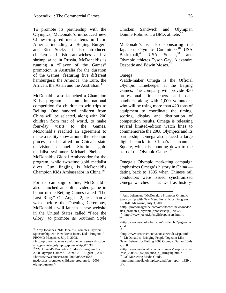To promote its partnership with the Olympics, McDonald's introduced new Chinese-inspired menu items in Latin America including a "Beijing Burger" and Rice Sticks. It also introduced chicken and fish sandwiches and a shrimp salad in Russia. McDonald's is running a "Flavor of the Games" promotion in Australia for the duration of the Games, featuring five different hamburgers: the America, the Euro, the African, the Asian and the Australian.<sup>45</sup>

McDonald's also launched a Champion Kids program — an international competition for children to win trips to Beijing. One hundred children from China will be selected, along with 200 children from rest of world, to make four-day visits to the Games. McDonald's reached an agreement to make a reality show around the selection process, to be aired on China's state television channel. Six-time gold medalist swimmer Michael Phelps is McDonald's Global Ambassador for the program, while two-time gold medalist diver Guo Jingjing is McDonald's Champion Kids Ambassador in China.<sup>46</sup>

For its campaign online, McDonald's also launched an online video game in honor of the Beijing Games called "The Lost Ring." On August 2, less than a week before the Opening Ceremony, McDonald's will launch a new website in the United States called "Face the Glory" to promote its Southern Style

 $\overline{a}$ 

Chicken Sandwich and Olympian Donnie Robinson, a BMX athlete.<sup>47</sup>

McDonald's is also sponsoring the Japanese Olympic Committee,<sup>48</sup> USA<br>Basketball,<sup>49</sup> USA Soccer.<sup>50</sup> and Basketball,<sup>49</sup> USA Soccer,<sup>50</sup> and Olympic athletes Tyson Gay, Alexandre Despatie and Edwin Moses.<sup>51</sup>

#### Omega

 $\overline{a}$ 

Watch-maker Omega is the Official Olympic Timekeeper at the Beijing Games. The company will provide 450 professional timekeepers and data handlers, along with 1,000 volunteers, who will be using more than 420 tons of equipment to coordinate the timing, scoring, display and distribution of competition results. Omega is releasing several limited-edition watch lines to commemorate the 2008 Olympics and its partnership. Omega also placed a large digital clock in China's Tiananmen Square, which is counting down to the start of the Olympic Games. $52$ 

Omega's Olympic marketing campaign emphasizes Omega's history in China dating back to 1895 when Chinese rail conductors were issued synchronized Omega watches — as well as history-

<sup>45</sup> Amy Johannes, "McDonald's Promotes Olympic Sponsorship with New Menu Items, Kids' Program." PROMO Magazine, July 3, 2008.

<sup>&</sup>lt;http://promomagazine.com/othertactics/news/mcdon alds\_promotes\_olympic\_sponsorship\_0703/>. 46 "McDonald's Promotes Children's Program For

<sup>2008</sup> Olympic Games." China CSR, August 9, 2007. <http://www.chinacsr.com/2007/08/09/1586 mcdonalds-promotes-childrens-program-for-2008 olympic-games/>.

<sup>47</sup> Amy Johannes, "McDonald's Promotes Olympic Sponsorship with New Menu Items, Kids' Program." PROMO Magazine, July 3, 2008.

<sup>&</sup>lt;http://promomagazine.com/othertactics/news/mcdon alds\_promotes\_olympic\_sponsorship\_0703/>.

<sup>48 &</sup>lt;http://www.joc.or.jp/english/sponsors.html>. 49

<sup>&</sup>lt;http://www.usabasketball.com/inside.php?page=spon sors>. 50

<sup>&</sup>lt;http://www.ussoccer.com/sponsors/index.jsp.html>. 51 "McDonald's 'Bringing People Together Like

Never Before' for Beijing 2008 Olympic Games." July 2, 2008.

<sup>&</sup>lt;http://www.mcdonalds.com/corp/news/corppr/corpre lease  $2008/07$  02 08 mcd s bringing.html>.

<sup>52</sup> IOC Marketing Media Guide.

<sup>&</sup>lt;http://multimedia.olympic.org/pdf/en\_report\_1329.p df>.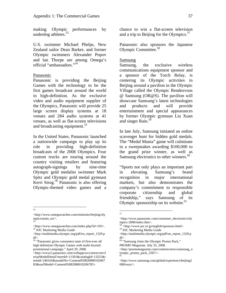making Olympic performances by underdog athletes. $53$ 

U.S. swimmer Michael Phelps, New Zealand sailor Dean Barker, and former Olympic swimmers Alexander Popov and Ian Thorpe are among Omega's official "ambassadors."54

#### Panasonic

Panasonic is providing the Beijing Games with the technology to be the first games broadcast around the world in high-definition. As the exclusive video and audio equipment supplier of the Olympics, Panasonic will provide 25 large screen display systems at 18 venues and 284 audio systems at 41 venues, as well as flat-screen televisions and broadcasting equipment.<sup>55</sup>

In the United States, Panasonic launched a nationwide campaign to play up its role in providing high-definition broadcasts of the 2008 Olympics. Four custom trucks are touring around the country visiting retailers and featuring autograph-signings by nine-time Olympic gold medalist swimmer Mark Spitz and Olympic gold medal gymnast Kerri Strug.56 Panasonic is also offering Olympic-themed video games and a

53

chance to win a flat-screen television and a trip to Beijing for the Olympics. $57$ 

Panasonic also sponsors the Japanese Olympic Committee.58

#### Samsung

Samsung, the exclusive wireless communications equipment sponsor and a sponsor of the Torch Relay, is centering its Olympic activities in Beijing around a pavilion in the Olympic Village called the Olympic Rendezvous @ Samsung (OR@S). The pavilion will showcase Samsung's latest technologies and products and will provide entertainment and special appearances by former Olympic gymnast Liu Xuan and singer Rain.<sup>59</sup>

In late July, Samsung initiated an online scavenger hunt for hidden gold medals. The "Medal Mania" game will culminate in a sweepstakes awarding \$100,000 to the grand prize winner, as well as Samsung electronics to other winners.<sup>60</sup>

"Sports not only plays an important part in elevating Samsung's brand recognition in major international markets, but also demonstrates the company's commitment to responsible corporate citizenship and global friendship," says Samsung of its Olympic sponsorship on its website. $61$ 

<sup>&</sup>lt;http://www.omegawatches.com/minisites/beijing/oly mpics/main\_en/>. 54

 $\leq$ http://www.omegawatches.com/index.php?id=103>. $^{55}$  IOC Marketing Media Guide

<sup>&</sup>lt;http://multimedia.olympic.org/pdf/en\_report\_1329.p df>.

<sup>56 &</sup>quot;Panasonic gives consumers taste of first-ever all high definition Olympic Games with multi-faceted promotional campaign." April 29, 2008.

<sup>&</sup>lt;http://www2.panasonic.com/webapp/wcs/stores/servl et/prModelDetail?storeId=11301&catalogId=13251&i temId=246165&modelNo=Content050820080102067 83&surfModel=Content05082008010206783>.

 $rac{1}{57}$ 

<sup>&</sup>lt;http://www.panasonic.com/consumer\_electronics/oly mpics-2008/index.htm>.

<sup>&</sup>lt;sup>58</sup> <http://www.joc.or.jp/english/sponsors.html>.<br><sup>59</sup> IOC Marketing Media Guide

<sup>&</sup>lt;http://multimedia.olympic.org/pdf/en\_report\_1329.p  $df$ 

<sup>&</sup>lt;sup>60</sup> "Samsung Joins the Olympic Promo Pack,"

PROMO Magazine. July 25, 2008.

<sup>&</sup>lt;http://promomagazine.com/contests/news/samsung\_o lympic\_promo\_pack\_2507/>. 61

<sup>&</sup>lt;http://www.samsung.com/global/experience/beijing2 008/eura/>.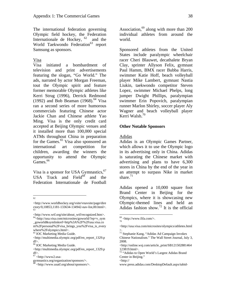The international federation governing Olympic field hockey, the Federation Internationale de Hockey,  $62$  and the World Taekwondo Federation<sup>63</sup> report Samsung as sponsors.

#### Visa

Visa initiated a bombardment of television and print advertisements featuring the slogan, "Go World." The ads, narrated by actor Morgan Freeman, tout the Olympic spirit and feature former memorable Olympic athletes like Kerri Strug (1996), Derrick Redmond (1992) and Bob Beaman (1968).<sup>64</sup> Visa ran a second series of more humorous commercials featuring Chinese actor Jackie Chan and Chinese athlete Yao Ming. Visa is the only credit card accepted at Beijing Olympic venues and it installed more than 100,000 special ATMs throughout China in preparation for the Games.<sup>65</sup> Visa also sponsored an international art competition for children, awarding the winners the opportunity to attend the Olympic  $Games.$ <sup>66</sup>

Visa is a sponsor for USA Gymnastics, <sup>67</sup> USA Track and  $Field^{68}$  and the Federation Internationale de Football

62

<http://www.wtf.org/site/about\_wtf/recognized.htm>. 64<http://usa.visa.com/microsites/goworld/?ep=v\_sym

\_goworld&symlinkref=http%3A%2F%2Fusa.visa.co m%2Fpersonal%2Fvisa\_brings\_you%2Fvisa\_is\_every where%2Folympics.html>.

65 IOC Marketing Media Guide.

66 IOC Marketing Media Guide.

Association,<sup>69</sup> along with more than 200 individual athletes from around the world.

Sponsored athletes from the United States include paralympic wheelchair racer Cheri Blauwet, decathalete Bryan Clay, sprinter Allyson Felix, gymnast Paul Hamm, BMX racer Bubba Harris, swimmer Katie Hoff, beach volleyball player Mike Lambert, gymnast Nastia Liukin, taekwondo competitor Steven Lopez, swimmer Michael Phelps, long jumper Dwight Phillips, paralympian swimmer Erin Popovich, paralympian runner Marlon Shirley, soccer player Aly Wagner and beach volleyball player Kerri Walsh.<sup>70</sup>

#### **Other Notable Sponsors**

#### Adidas

Adidas is an Olympic Games Partner, which allows it to use the Olympic logo in its advertising only in China. Adidas is saturating the Chinese market with advertising and plans to have 6,300 stores in China by the end of the year in an attempt to surpass Nike in market share. $71$ 

Adidas opened a 10,000 square foot Brand Center in Beijing for the Olympics, where it is showcasing new Olympic-themed lines and held an Adidas fashion show.<sup>72</sup> It is the official

<u>.</u>

<sup>&</sup>lt;http://www.worldhockey.org/vsite/vnavsite/page/dire ctory/0,10853,1181-133634-134942-nav-list,00.html>. 63

<sup>&</sup>lt;http://multimedia.olympic.org/pdf/en\_report\_1329.p df>.

<sup>&</sup>lt;http://multimedia.olympic.org/pdf/en\_report\_1329.p df>.

 $67$  <http://www2.usa-

gymnastics.org/organization/sponsors/>.

<sup>68 &</sup>lt;http://www.usatf.org/about/sponsors/>.

 $^{69}_{70}$  <http://www.fifa.com/>.

<sup>&</sup>lt;http://usa.visa.com/microsites/olympics/athletes.html >.

<sup>71</sup> Stephanie Kang, "Adidas Ad Campaign Invokes Chinese Nationalism." The Wall Street Journal, July 3, 2008.

<sup>&</sup>lt;http://online.wsj.com/article\_print/SB121502881464 123819.html>.

<sup>72 &</sup>quot;Adidas to Open World's Largest Adidas Brand Center in Beijing." <http://

www.press.adidas.com/DesktopDefault.aspx/tabid-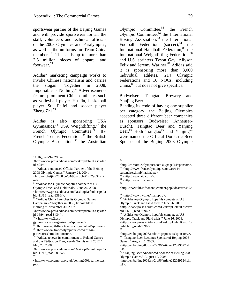sportswear partner of the Beijing Games and will provide sportswear for all the staff, volunteers and technical officials of the 2008 Olympics and Paralympics, as well as the uniforms for Team China members.<sup>73</sup> This adds up to more than 2.5 million pieces of apparel and footwear. $^{74}$ 

Adidas' marketing campaign works to invoke Chinese nationalism and carries the slogan "Together in 2008, Impossible is Nothing." Advertisements feature prominent Chinese athletes such as volleyball player Hu Jia, basketball player Sui Feifei and soccer player Zheng Zhi. $^{75}$ 

Adidas is also sponsoring USA Gymnastics,<sup>76</sup> USA Weightlifting,<sup>77</sup> the French Olympic Committee, $\bar{78}$  the French Tennis Federation,<sup>79</sup> the British Olympic Association,<sup>80</sup> the Australian

1

<http://en.beijing2008.cn/34/96/article212029634.sht ml>.

74 "Adidas top Olympic hopefuls compete at U.S. Olympic Track and Field trials." June 26, 2008. <http://www.press.adidas.com/DesktopDefault.aspx/ta bid-11/16\_read-9396/>.

75 "Adidas China Launches its Olympic Games Campaign – 'Together in 2008, Impossible is Nothing.'" November 30, 2007.

Olympic Committee, $81$  the French Olympic Committee, $82$  the International Boxing Association, $83$  the International Football Federation (soccer),<sup>84</sup> the International Handball Federation,<sup>85</sup> the International Weightlifting Federation, 86 and U.S. sprinters Tyson Gay, Allyson Felix and Jeremy Wariner.<sup>87</sup> Adidas said it is sponsoring more than 3,000 individual athletes, 214 Olympic Federations and 16 NOCs, including China,<sup>88</sup> but does not give specifics.

## Budweiser, Tsingtao Brewery and Yanjing Beer

Bending its code of having one supplier per category, the Beijing Olympics accepted three different beer companies as sponsors: Budweiser (Anheuser-Busch), Tsingtao Beer and Yanjing Beer.<sup>89</sup> Both Tsingtao<sup>90</sup> and Yanjing<sup>91</sup> were named the Official Domestic Beer Sponsor of the Beijing 2008 Olympic

89

85

<http://www.ihf.info/front\_content.php?idcatart=459>

<sup>11/16</sup>\_read-9402/> and

<sup>&</sup>lt;http://www.press.adidas.com/desktopdefault.aspx/tab id-404/>.

<sup>73 &</sup>quot;Adidas announced Official Partner of the Beijing 2008 Olympic Games." January 24, 2004.

<sup>&</sup>lt;http://www.press.adidas.com/desktopdefault.aspx/tab id-16/94\_read-8434/>.

 $6$  <http://www2.usa-

gymnastics.org/organization/sponsors/>.

<sup>77</sup>  $\lt$ http://weightlifting.teamusa.org/content/sponsors>.<br>78  $\lt$ http://www.franceolympique.com/art/144-

partenaires.html#nationaux>.

<sup>&</sup>lt;sup>9</sup> "Adidas renews its commitment to Roland-Garros and the Fédération Française de Tennis until 2012." May 23, 2008.

<sup>&</sup>lt;http://www.press.adidas.com/DesktopDefault.aspx/ta bid-11/16\_read-9016/>. 80

<sup>&</sup>lt;http://www.olympics.org.uk/beijing2008/partners.as px>.

 $rac{1}{81}$ 

<sup>&</sup>lt;http://corporate.olympics.com.au/page/44/sponsors>. 82 <http://www.franceolympique.com/art/144-

partenaires.html#nationaux>.

<sup>83 &</sup>lt;http://www.aiba.org/>.

<sup>84 &</sup>lt;http://www.fifa.com>.

<sup>.</sup>  86 <http://www.iwf.net/main.php>.

<sup>87 &</sup>quot;Adidas top Olympic hopefuls compete at U.S. Olympic Track and Field trials." June 26, 2008. <http://www.press.adidas.com/DesktopDefault.aspx/ta bid-11/16\_read-9396/>.

<sup>&</sup>lt;sup>88</sup> "Adidas top Olympic hopefuls compete at U.S. Olympic Track and Field trials." June 26, 2008. <http://www.press.adidas.com/DesktopDefault.aspx/ta bid-11/16\_read-9396/>.

<sup>&</sup>lt;http://en.beijing2008.cn/bocog/sponsors/sponsors/>. <sup>90</sup> "Tsingtao Beer Becomes Sponsor of Beijing 2008 Games." August 11, 2005.

<sup>&</sup>lt;http://en.beijing2008.cn/22/96/article212029622.sht ml>.

<sup>&</sup>lt;sup>91</sup> "Yanjing Beer Announced Sponsor of Beijing 2008 Olympic Games." August 10, 2005.

<sup>&</sup>lt;http://en.beijing2008.cn/24/96/article212029624.sht ml>.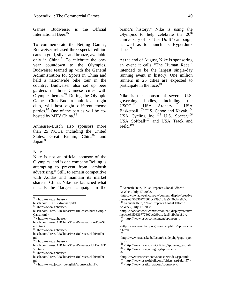Games. Budweiser is the Official International Beer.<sup>92</sup>

To commemorate the Beijing Games, Budweiser released three special-edition cans in gold, silver and bronze, available only in China. $93$  To celebrate the oneyear countdown to the Olympics, Budweiser teamed up with the General Administration for Sports in China and held a nationwide bike tour in the country. Budweiser also set up beer gardens in three Chinese cities with Olympic themes. $94$  During the Olympic Games, Club Bud, a multi-level night club, will host eight different theme parties.<sup>95</sup> One of the parties will be cohosted by MTV China.<sup>96</sup>

Anheuser-Busch also sponsors more than 25 NOCs, including the United States, Great Britain,  $China<sup>97</sup>$  and Japan.<sup>98</sup>

#### Nike

 $\overline{a}$ 

Nike is not an official sponsor of the Olympics, and is one company Beijing is attempting to prevent from "ambush advertising." Still, to remain competitive with Adidas and maintain its market share in China, Nike has launched what it calls the "largest campaign in the

busch.com/Press/ABChina/PressReleases/budOlympic Cans.html>.

95 <http://www.anheuser-

 $96$  <http://www.anheuser-

 $\frac{97}{7}$  <http://www.anheuser-

98 <http://www.joc.or.jp/english/sponsors.html>.

brand's history." Nike is using the Olympics to help celebrate the  $20<sup>th</sup>$ anniversary of its "Just Do It" campaign, as well as to launch its Hyperdunk shoe. $99$ 

At the end of August, Nike is sponsoring an event it calls "The Human Race," intended to be the largest single-day running event in history. One million runners in 25 cities are expected to participate in the race. $100$ 

Nike is the sponsor of several U.S. governing bodies, including the USOC,<sup>101</sup> USA Archery,<sup>102</sup> USA USA Archery,<sup>102</sup> USA Basketball,<sup>103</sup> U.S. Canoe and Kayak,<sup>104</sup> USA Cycling Inc.,  $^{105}$  U.S. Soccer,  $^{106}$ USA Softball $107$  and USA Track and Field. $108$ 

 $92$  <http://www.anheuser-

busch.com/PDF/Budweiser.pdf>.

 $93$  <http://www.anheuser-

<sup>94 &</sup>lt;http://www.anheuser-

busch.com/Press/ABChina/PressReleases/BikeTourSt art.html>.

busch.com/Press/ABChina/PressReleases/clubBud.ht ml>.

busch.com/Press/ABChina/PressReleases/clubBudMT V.html>.

busch.com/Press/ABChina/PressReleases/clubBud.ht ml>.

<sup>&</sup>lt;sup>99</sup> Kenneth Hein, "Nike Prepares Global Effort." AdWeek, July 17, 2008.

<sup>&</sup>lt;http://www.adweek.com/aw/content\_display/creative /news/e3i50336777802bc299c1d9ae542bbbce8d>.

<sup>&</sup>lt;sup>100</sup> Kenneth Hein, "Nike Prepares Global Effort." AdWeek, July 17, 2008.

<sup>&</sup>lt;http://www.adweek.com/aw/content\_display/creative /news/e3i50336777802bc299c1d9ae542bbbce8d>.  $\frac{101}{102}$  <http://www.usoc.com/content/sponsors>.

<sup>&</sup>lt;http://www.usarchery.org/usarchery/html/Sponsorshi p.html>. 103

<sup>&</sup>lt;http://www.usabasketball.com/inside.php?page=spon sors>.

<sup>&</sup>lt;sup>104</sup> <http://www.usack.org/Official\_Sponsors\_.aspx#>.<br> $\frac{^{105}}{^{105}}$  <http://www.usacycling.org/sponsors/>.

<sup>\</sup>spacer.com/sponsors/index.jsp.html>. 107 \leftp://www.usasoftball.com/folders.asp?uid=97>. 108 \leftp://www.usatf.org/about/sponsors/>.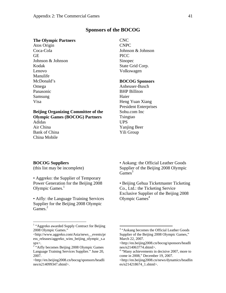#### **Sponsors of the BOCOG**

#### **The Olympic Partners**

Atos Origin Coca-Cola **GE** Johnson & Johnson Kodak Lenovo Manulife McDonald's Omega Panasonic Samsung Visa

# **Beijing Organizing Committee of the Olympic Games (BOCOG) Partners** Adidas Air China Bank of China

CNC CNPC Johnson & Johnson PICC Sinopec State Grid Corp. Volkswagen

#### **BOCOG Sponsors**

Anheuser-Busch BHP Billiton Haier Heng Yuan Xiang President Enterprises Sohu.com Inc Tsingtao UPS Yanjing Beer Yili Group

#### **BOCOG Suppliers**

China Mobile

(this list may be incomplete)

• Aggreko: the Supplier of Temporary Power Generation for the Beijing 2008 Olympic Games. $<sup>1</sup>$ </sup>

• Aifly: the Language Training Services Supplier for the Beijing 2008 Olympic  $Games.<sup>2</sup>$ 

• Aokang: the Official Leather Goods Supplier of the Beijing 2008 Olympic Games $3$ 

• Beijing Gehua Ticketmaster Ticketing Co., Ltd.: the Ticketing Service Exclusive Supplier of the Beijing 2008 Olympic  $Games<sup>4</sup>$ 

 $\frac{1}{1}$ <sup>1</sup> "Aggreko awarded Supply Contract for Beijing 2008 Olympic Games."

<sup>&</sup>lt;http://www.aggreko.com/Asia/news\_\_events/pr ess releases/aggreko wins beijing olympic s.a  $spx$ .

<sup>&</sup>lt;sup>2</sup> "Aifly becomes Beijing 2008 Olympic Games Language Training Services Supplier." June 20, 2007.

<sup>&</sup>lt;http://en.beijing2008.cn/bocog/sponsors/headli nes/n214099347.shtml>.

<sup>&</sup>lt;sup>3</sup> "Aokang becomes the Official Leather Goods Supplier of the Beijing 2008 Olympic Games," March 22, 2007.

<sup>&</sup>lt;http://en.beijing2008.cn/bocog/sponsors/headli nes/n214063774.shtml>.

<sup>&</sup>lt;sup>4</sup> "Many achievements in decisive 2007, more to come in 2008," December 19, 2007.

<sup>&</sup>lt;http://en.beijing2008.cn/news/dynamics/headlin es/n214218674\_1.shtml>.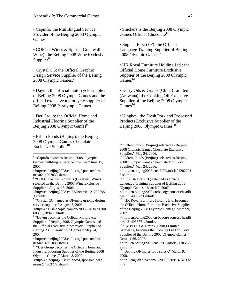• Capinfo: the Multilingual Service Provider of the Beijing 2008 Olympic Games.<sup>5</sup>

• COFCO Wines & Spirits (Greatwall Wine): the Beijing 2008 Wine Exclusive Supplier $<sup>6</sup>$ </sup>

• Crystal CG: the Official Graphic Design Service Supplier of the Beijing 2008 Olympic Games.<sup>7</sup>

• Dayun: the official motorcycle supplier of Beijing 2008 Olympic Games and the official exclusive motorcycle supplier of Beijing 2008 Paralympic Games<sup>8</sup>

• Der Group: the Official Home and Industrial Flooring Supplier of the Beijing 2008 Olympic Games<sup>9</sup>

• Effem Foods (Beijing): the Beijing 2008 Olympic Games Chocolate Exclusive Supplier<sup>10</sup>

 $\overline{a}$ 

<sup>6</sup> "COFCO Wines & Spirits (Greatwall Wine) selected as the Beijing 2008 Wine Exclusive Supplier," August 16, 2006.

<http://en.beijing2008.cn/53/59/article21203595 3.shtml>.

<sup>7</sup> "Crystal CG named as Olympic graphic design service supplier." August 3, 2006.

<http://english.people.com.cn/200608/03/eng200 60803\_289406.html>.

<http://en.beijing2008.cn/bocog/sponsors/headli nes/n214091086.shtml>.

<sup>9</sup> "Der Group becomes the Official Home and Industrial Flooring Supplier of the Beijing 2008 Olympic Games," March 8, 2007.

<http://en.beijing2008.cn/bocog/sponsors/headli nes/n214063772.shtml>.

• Snickers is the Beijing 2008 Olympic Games Official Chocolate<sup>11</sup>

• English First (EF): the Official Language Training Supplier of Beijing 2008 Olympic Games<sup>12</sup>

• HK Royal Furniture Holding Ltd.: the Official Home Furniture Exclusive Supplier of the Beijing 2008 Olympic  $Games<sup>13</sup>$ 

• Kerry Oils & Grains (China) Limited (Arawana): the Cooking Oil Exclusive Supplier of the Beijing 2008 Olympic  $Games<sup>14</sup>$ 

• Kinghey: the Fresh Pork and Processed Products Exclusive Supplier of the Beijing 2008 Olympic Games.<sup>15</sup>

 $\overline{a}$ 

<http://en.beijing2008.cn/bocog/sponsors/headli nes/n214063773.shtml>.

<sup>13</sup> "HK Royal Furniture Holding Ltd. becomes the Official Home Furniture Exclusive Supplier of the Beijing 2008 Olympic Games," March 9, 2007.

<http://en.beijing2008.cn/bocog/sponsors/headli nes/n214063771.shtml>.

14 "Kerry Oils & Grains (China) Limited (Arawana) becomes the Cooking Oil Exclusive Supplier of the Beijing 2008 Olympic Games," October 26, 2006.

<http://en.beijing2008.cn/79/12/article21205127 9.shtml>.

<sup>15</sup> "Beijing Olympics food safety." March 9, 2008.

<http://english.sina.com/1/2008/0309/149483.ht ml>.

<sup>&</sup>lt;sup>5</sup> "Capinfo becomes Beijing 2008 Olympic Games multilingual service provider." June 15, 2007.

<sup>&</sup>lt;http://en.beijing2008.cn/bocog/sponsors/headli nes/n214097858.shtml>.

<sup>&</sup>lt;sup>8</sup> "Dayun becomes the Official Motorcycle Supplier of Beijing 2008 Olympic Games and the Official Exclusive Motorcycle Supplier of Beijing 2008 Paralympic Games," May 24, 2007.

<sup>&</sup>lt;sup>10</sup> "Effem Foods (Beijing) selected as Beijing 2008 Olympic Games Chocolate Exclusive Supplier," May 24, 2006.

 $11$  "Effem Foods (Beijing) selected as Beijing 2008 Olympic Games Chocolate Exclusive Supplier," May 24, 2006.

<sup>&</sup>lt;http://en.beijing2008.cn/16/20/article21202201 6.shtml>.

<sup>&</sup>lt;sup>12</sup> "English First (EF) selected as Official Language Training Supplier of Beijing 2008 Olympic Games," March 2, 2007.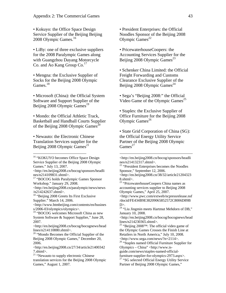• Kokuyo: the Office Space Design Service Supplier of the Beijing Beijing 2008 Olympic Games.<sup>16</sup>

• LiBy: one of three exclusive suppliers for the 2008 Paralympic Games along with Guangzhou Dayang Motorcycle Co. and Ao Kang Group  $Co<sup>17</sup>$ 

• Mengna: the Exclusive Supplier of Socks for the Beijing 2008 Olympic Games.<sup>18</sup>

• Microsoft (China): the Official System Software and Support Supplier of the Beijing  $2008$  Olympic Games<sup>19</sup>

• Mondo: the Official Athletic Track, Basketball and Handball Courts Supplier of the Beijing 2008 Olympic Games<sup>20</sup>

• Newauto: the Electronic Chinese Translation Services supplier for the Beijing  $2008$  Olympic Games<sup>21</sup>

<http://en.beijing2008.cn/paralympic/news/news /n214242637.shtml>.

<sup>18</sup> "Beijing 2008 Greets Its First Exclusive Supplier." March 14, 2006.

<http://www.btmbeijing.com/contents/en/busines s/2006-03/olympics/olympics>.

<sup>19</sup> "BOCOG welcomes Microsoft China as new System Software & Support Supplier," June 28, 2007.

<http://en.beijing2008.cn/bocog/bocognews/head lines/n214110880.shtml>.

<sup>20</sup> "Mondo Becomes the Official Supplier of the Beijing 2008 Olympic Games," December 20, 2006.

<http://en.beijing2008.cn/27/34/article21400342 7.shtml>.

<sup>21</sup> "Newauto to supply electronic Chinese translation services for the Beijing 2008 Olympic Games," August 1, 2007.

• President Enterprises: the Official Noodles Sponsor of the Beijing 2008 Olympic  $Games^{22}$ 

• PricewaterhouseCoopers: the Accounting Services Supplier for the Beijing  $2008$  Olympic Games<sup>23</sup>

• Schenker China Limited: the Official Freight Forwarding and Customs Clearance Exclusive Supplier of the Beijing 2008 Olympic Games<sup>24</sup>

• Sega's "Beijing 2008:" the Official Video Game of the Olympic Games<sup>25</sup>

• Staples: the Exclusive Supplier of Office Furniture for the Beijing 2008 Olympic Games $^{26}$ 

• State Grid Corporation of China (SG): the Official Energy Utility Service Partner of the Beijing 2008 Olympic Games $^{27}$ 

<sup>22</sup> "President Enterprises becomes the Noodles Sponsor," September 12, 2006. <http://en.beijing2008.cn/38/32/article21204323 8.shtml>.

<sup>23</sup> "PricewaterhouseCoopers China names as accounting services supplier to Beijing 2008 Olympic Games," April 25, 2007.

<http://www.pwc.com/extweb/ncpressrelease.nsf /docid/FE434B9E38209065852572C8006D89B  $D$ 

<sup>24</sup> "Liu Jingmin meets Hartmut Mehdorn of DB," January 10, 2008.

<http://en.beijing2008.cn/bocog/bocognews/head lines/n214230365.shtml>.

<sup>25</sup> "Beijing 2008<sup>TM</sup>: The official video game of the Olympic Games Crosses the Finish Line at Retailers in North America," July 10, 2008. <http://www.sega.com/news/?n=2114>.

<sup>26</sup> "Staples named Official Furniture Supplier for Olympics – China" <http://www.is-

guide.com/news/staples-named-officialfurniture-supplier-for-olympics-2973.aspx>.

<sup>27</sup> "SG selected Official Energy Utility Service Partner of Beijing 2008 Olympic Games,"

<sup>&</sup>lt;sup>16</sup> "KOKUYO becomes Office Space Design Service Supplier of the Beijing 2008 Olympic Games." July 13, 2007.

<sup>&</sup>lt;http://en.beijing2008.cn/bocog/sponsors/headli nes/n214109831.shtml>.

<sup>&</sup>lt;sup>17</sup> "BOCOG holds Paralympic Games Sponsor Workshop." January 29, 2008.

<sup>&</sup>lt;http://en.beijing2008.cn/bocog/sponsors/headli nes/n214132317.shtml>.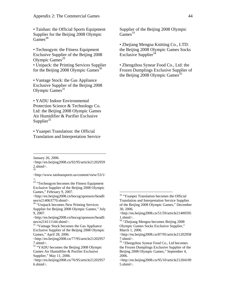• Taishan: the Official Sports Equipment Supplier for the Beijing 2008 Olympic Games $^{28}$ 

• Technogym: the Fitness Equipment Exclusive Supplier of the Beijing 2008 Olympic Games $^{29}$ 

• Unipack: the Printing Services Supplier for the Beijing  $2008$  Olympic Games<sup>30</sup>

• Vantage Stock: the Gas Appliance Exclusive Supplier of the Beijing 2008 Olympic  $Games<sup>31</sup>$ 

• YADU Indoor Environmental Protection Science & Technology Co. Ltd: the Beijing 2008 Olympic Games Air Humidifier & Purifier Exclusive Supplier $32$ 

• Yuanpei Translation: the Official Translation and Interpretation Service

January 26, 2006.

 $\overline{a}$ 

<http://en.beijing2008.cn/92/95/article21202959  $2.$ shtml $>$ .

<http://www.taishansports.us/content/view/53/1/ >.

 $29$  "Technogym becomes the Fitness Equipment Exclusive Supplier of the Beijing 2008 Olympic Games," February 9, 2007.

<http://en.beijing2008.cn/bocog/sponsors/headli nes/n214063770.shtml>.

<sup>30</sup> "Unipack becomes New Printing Services" Supplier for Beijing 2008 Olympic Games," July 9, 2007.

<http://en.beijing2008.cn/bocog/sponsors/headli nes/n214111144.shtml>.

<sup>31</sup> "Vantage Stock becomes the Gas Appliance" Exclusive Supplier of the Beijing 2008 Olympic Games," April 28, 2006.

<http://en.beijing2008.cn/77/95/article21202957 7.shtml>.

<sup>32</sup> "YADU becomes the Beijing 2008 Olympic Games Air Humidifier & Purifier Exclusive Supplier," May 11, 2006.

<http://en.beijing2008.cn/76/95/article21202957 6.shtml>.

Supplier of the Beijing 2008 Olympic  $Games<sup>33</sup>$ 

• Zhejiang Mengna Knitting Co., LTD: the Beijing 2008 Olympic Games Socks Exclusive Supplier<sup>34</sup>

• Zhengzhou Synear Food Co., Ltd: the Frozen Dumplings Exclusive Supplier of the Beijing 2008 Olympic Games $^{35}$ 

 $\overline{a}$ 

<sup>34</sup> "Zhejiang Mengna becomes Beijing 2008 Olympic Games Socks Exclusive Supplier," March 1, 2006.

<sup>&</sup>lt;sup>33</sup> "Yuanpei Translation becomes the Official Translation and Interpretation Service Supplier of the Beijing 2008 Olympic Games," December 30, 2006.

<sup>&</sup>lt;http://en.beijing2008.cn/51/59/article21400595 1.shtml>.

<sup>&</sup>lt;http://en.beijing2008.cn/87/95/article21202958 7.shtml>.

<sup>&</sup>lt;sup>35</sup> "Zhengzhou Synear Food Co., Ltd becomes the Frozen Dumplings Exclusive Supplier of the Beijing 2008 Olympic Games," September 4, 2006.

<sup>&</sup>lt;http://en.beijing2008.cn/95/10/article21204109 5.shtml>.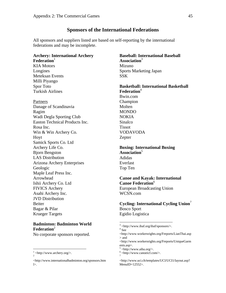## **Sponsors of the International Federations**

All sponsors and suppliers listed are based on self-reporting by the international federations and may be incomplete.

# **Archery: International Archery**   $\textbf{Federation}^1$

KIA Motors Longines Meteksan Events Milli Piyango Spor Toto Turkish Airlines

Partners

Danage of Scandinavia Ragim Wadi Degla Sporting Club Easton Technical Products Inc. Rosa Inc. Win & Win Archery Co. Hoyt Samick Sports Co. Ltd Archery Life Co. Bjorn Bengston LAS Distribution Arizona Archery Enterprises Geologic Maple Leaf Press Inc. Arrowhead Ishii Archery Co. Ltd FIVICS Archery Asahi Archery Inc. JVD Distribution Beiter Bagar & Pilar Krueger Targets

## **Badminton: Badminton World Federation**<sup>2</sup>

No corporate sponsors reported.

 $\overline{a}$ 

**Baseball: International Baseball Association**<sup>3</sup> Mizuno Sports Marketing Japan SSK

**Basketball: International Basketball Federation**<sup>4</sup> Bwin.com Champion Molten MONDO NOKIA Sinalco Tissot VODAVODA Zepter

## **Boxing: International Boxing Association**<sup>5</sup> Adidas Everlast Top Ten

#### **Canoe and Kayak: International Canoe Federation**<sup>6</sup>

European Broadcasting Union WCSN.com

**Cycling: International Cycling Union**<sup>7</sup> Bosco Sport Egidio Logistica

 $\frac{1}{2}$  <http://www.archery.org/>.

<sup>&</sup>lt;http://www.internationalbadminton.org/sponsors.htm l>.

<sup>&</sup>lt;sup>3</sup> <http://www.ibaf.org/ibaf/sponsors/>.

 $4$  See

<sup>&</sup>lt;http://www.workersrights.org/Freports/LianThai.asp > and

<sup>&</sup>lt;http://www.workersrights.org/Freports/UniqueGarm ents.asp>.

 $5$  <http://www.aiba.org/>.

 $\frac{6}{7}$  <http://www.canoeicf.com/>.

<sup>&</sup>lt;http://www.uci.ch/templates/UCI/UCI1/layout.asp? MenuID=12552>.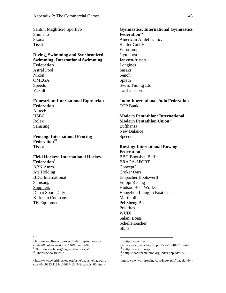Santini Maglificio Sportivo Shimano Skoda Tissit

#### **Diving, Swimming and Synchronized Swimming: International Swimming Federation**<sup>8</sup> Astral Pool

Nikon **OMEGA** Speedo Yakult

## **Equestrian: International Equestrian Federation**<sup>9</sup> Alltech **HSBC** Rolex Samsung

**Fencing: International Fencing**  Federation<sup>10</sup> Tissot

# **Field Hockey: International Hockey**  Federation<sup>11</sup>

ABN Amro Ata Holding BDO International Samsung **Suppliers** Dubai Sports City Kirkman Company TK Equipment

# **Gymnastics: International Gymnastics Federation**<sup>12</sup> American Athletics Inc. Banfer GmbH Eurotramp Gymnova Janssen-fritsen Longines Sasaki Senoh

Spieth Swiss Timing Ltd Taishansports

#### **Judo: International Judo Federation** OTP Bank $^{13}$

#### **Modern Pentathlon: International Modern Pentathlon Union**<sup>14</sup>

Lufthansa New Balance Speedo

#### **Rowing: International Rowing Federation**<sup>15</sup>

BBG Bootsbau Berlin BRACA-SPORT Concept2 Croker Oars Empacher Bootswerft Filippi Racing Hudson Boat Works Hangzhou Liangjin Boat Co. Martinoli Pei Sheng Boat Polaritas **WUDI** Salani Boats Schellenbacher Skins

<http://www.fina.org/project/index.php?option=com\_ content&task=view&id=1146&Itemid=9>.

.

 <sup>8</sup>  $\overline{8}$ 

<sup>&</sup>lt;sup>9</sup> <http://www.fei.org/Pages/Default.aspx>.<br><sup>10</sup> <http://www.fie.ch/>.

 $^{10}$  <http://www.fie.ch/>.

<sup>&</sup>lt;http://www.worldhockey.org/vsite/vnavsite/page/dire ctory/0,10853,1181-133634-134942-nav-list,00.html>.

 $12$  <http://www.fig-

gymnastics.com/cache/compo/5586-15-10001.html>.  $\langle$ http://www.iif.org>.

 $14$  <http://www.pentathlon.org/index.php?id=27>.

<sup>&</sup>lt;http://www.worldrowing.com/index.php?pageid=64>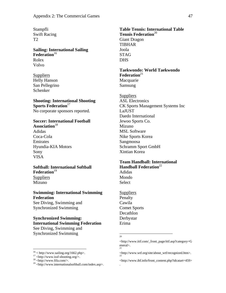Stampfli Swift Racing T2

## **Sailing: International Sailing Federation**<sup>16</sup> Rolex Volvo

**Suppliers** Helly Hanson San Pellegrino Schenker

#### **Shooting: International Shooting Sports Federation**<sup>17</sup> No corporate sponsors reported.

#### **Soccer: International Football**  Association<sup>18</sup>

Adidas Coca-Cola Emirates Hyundia-KIA Motors Sony VISA

# **Softball: International Softball**  Federation<sup>19</sup>

**Suppliers** Mizuno

# **Swimming: International Swimming Federation** See Diving, Swimming and

Synchronized Swimming

## **Synchronized Swimming: International Swimming Federation**  See Diving, Swimming and Synchronized Swimming

 $\overline{a}$ 

# **Table Tennis: International Table Tennis Federation**<sup>20</sup> Giant Dragon TIBHAR Joola STAG DHS

## **Taekwondo: World Taekwondo**  Federation<sup>21</sup> Macquarie

Samsung

**Suppliers** ASL Electronics CK Sports Management Systems Inc LaJUST Daedo International Jewoo Sports Co. Mizuno MSL Software Nike Sports Korea Sangmoosa Schramm Sport GmbH Xintian Korea

## **Team Handball: International Handball Federation**<sup>22</sup>

Adidas Mondo Select

Suppliers Penalty Cawila Comet Sports Decathlon Derbystar Erima

<sup>20</sup>

.

 $16$  < http://www.sailing.org/1662.php>.

 $17$  <http://www.issf-shooting.org/>.

 $18$  <http://www.fifa.com/>.

<sup>19 &</sup>lt;http://www.internationalsoftball.com/index.asp>.

<sup>&</sup>lt;http://www.ittf.com/\_front\_page/ittf.asp?category=G eneral>. 21

<sup>&</sup>lt;http://www.wtf.org/site/about\_wtf/recognized.htm>.

<sup>&</sup>lt;http://www.ihf.info/front\_content.php?idcatart=459>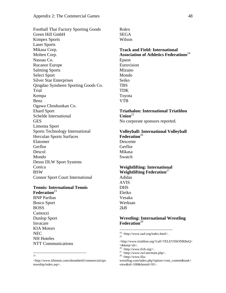Football Thai Factory Sporting Goods Green Hill GmbH Kimpex Sports Laser Sports Mikasa Corp. Molten Corp. Nassau Co. Rucanor Europe Salming Sports Select Sport Silver Star Enterprises Qingdao Synsheen Sporting Goods Co. Trial Kempa Benz Ogawa Choshunkan Co. Ehard Sport Schelde International GES Limonta Sport Sports Technology International Herculan Sports Surfaces Elatomer **Gerflor** Descol Mondo Desso DLW Sport Systems Conica **BSW** Connor Sport Court International

# **Tennis: International Tennis**

**Federation**<sup>23</sup> BNP Paribas Bosco Sport BOSS Camozzi Dunlop Sport Invacare KIA Motors NEC NH Hoteles NTT Communications

<http://www.itftennis.com/abouttheitf/commercial/spo nsorship/index.asp>.

Rolex **SEGA** Wilson

**Track and Field: International Association of Athletics Federations**<sup>24</sup> Epson Eurovision Mizuno Mondo Seiko TBS TDK Toyota VTB

# **Triathalon: International Triathlon**   $Union<sup>25</sup>$

No corporate sponsors reported.

# **Volleyball: International Volleyball Federation**<sup>26</sup>

Descente **Gerflor** Mikasa Swatch

#### **Weightlifting: International Weightlifting Federation**<sup>27</sup>

Adidas AVIS DHS Eleiko Vesaka Werksan  $2kB$ 

 $\overline{a}$ 

## **Wrestling: International Wrestling Federation**<sup>28</sup>

<sup>&</sup>lt;sup>23</sup>

 $24$  <http://www.iaaf.org/index.html>.  $25$ 

<sup>&</sup>lt;http://www.triathlon.org/?call=TELEVISIONRBeQ= =&keep=sh>.

 $26$  <http://www.fivb.org/>.

 $27$  <http://www.iwf.net/main.php>.

 $28$  <http://www.fila-

wrestling.com/index.php?option=com\_content&task= view&id=100&Itemid=93>.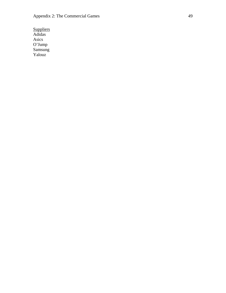**Suppliers** Adidas Asics O'Jump Samsung Yalouz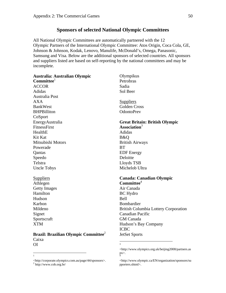# **Sponsors of selected National Olympic Committees**

All National Olympic Committees are automatically partnered with the 12 Olympic Partners of the International Olympic Committee: Atos Origin, Coca Cola, GE, Johnson & Johnson, Kodak, Lenovo, Manulife, McDonald's, Omega, Panasonic, Samsung and Visa. Below are the additional sponsors of selected countries. All sponsors and suppliers listed are based on self-reporting by the national committees and may be incomplete.

**Australia: Australian Olympic Committee**<sup>1</sup> ACCOR Adidas Australia Post AXA BankWest BHPBilliton CoSport EnergyAustralia **FitnessFirst** HealthE Kit Kat Mitsubishi Motors Powerade **Oantas** Speedo Telstra Uncle Tobys Suppliers Athlegen Getty Images **Hamilton** Hudson Karbon Mildeno Signet Sportscraft XTM **Brazil: Brazilian Olympic Committee**<sup>2</sup> Caixa OI Olympikus Petrobras Sadia Sol Beer Suppliers Golden Cross OdontoPrev **Great Britain: British Olympic Association**<sup>3</sup> Adidas B&Q British Airways **BT** EDF Energy Deloitte Lloyds TSB Michelob Ultra **Canada: Canadian Olympic Committee**<sup>4</sup> Air Canada BC Hydro Bell Bombardier British Columbia Lottery Corporation Canadian Pacific GM Canada Hudson's Bay Company ICBC JetSet Sports  $\frac{1}{3}$ <http://www.olympics.org.uk/beijing2008/partners.as

px>. 4

pporters.shtml>.

<http://corporate.olympics.com.au/page/44/sponsors>. 2

 $2$  http://www.cob.org.br/

 $\frac{1}{1}$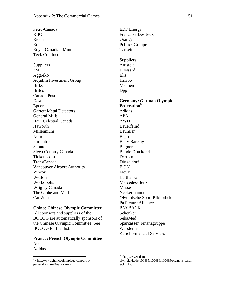Petro-Canada RBC Ricoh Rona Royal Canadian Mint Teck Cominco Suppliers 3M Aggreko Aquilini Investment Group **Birks** Britco Canada Post Dow Epcor Garrett Metal Detectors General Mills Hain Celestial Canada Haworth Millennium **Nortel** Purolator Saputo Sleep Country Canada Tickets.com TransCanada Vancouver Airport Authority Vincor Weston Workopolis Wrigley Canada The Globe and Mail CanWest

#### **China: Chinese Olympic Committee**

All sponsors and suppliers of the BOCOG are automatically sponsors of the Chinese Olympic Committee. See BOCOG for that list.

## **France: French Olympic Committee**<sup>5</sup> Accor Adidas

 5 <http://www.franceolympique.com/art/144 partenaires.html#nationaux>.

EDF Energy Francaise Des Jeux Orange Publics Groupe **Tarkett Suppliers** Arusteia Brossard Elis Haribo Mennen Dppi **Germany: German Olympic Federation**<sup>6</sup> Adidas APA AWD Bauerfeind Baumler Bego Betty Barclay Bogner Bunde Druckerei Dertour Düsseldorf E.ON Fioux Lufthansa Mercedes-Benz Messe Neckermann.de Olympische Sport Bibliothek Pa Picture Alliance PAYBACK Schenker SebaMed Sparkassen Finanzgruppe Warsteiner Zurich Financial Services

 $6$  <http://www.dsm-

olympia.de/de/100485/100486/100489/olympia\_partn er.html>.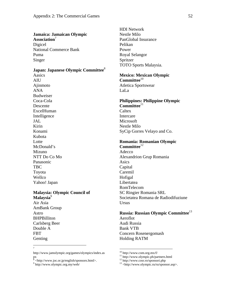#### **Jamaica: Jamaican Olympic**

Association<sup>7</sup> Digicel National Commerce Bank Puma Singer

## **Japan: Japanese Olympic Committee**<sup>8</sup>

Aasics AIU Ajinmoto ANA Budweiser Coca-Cola Descente ExcelHuman Intelligence JAL Kirin Konami Kubota Lotte McDonald's Mizuno NTT Do Co Mo Panasonic TBC Toyota Wellco Yahoo! Japan

#### **Malaysia: Olympic Council of Malaysia**<sup>9</sup>

Air Asia AmBank Group Astro **BHPBilliton** Carlsberg Beer Double A FBT Genting

HDI Network Nestle Milo PanGlobal Insurance Pelikan Power Royal Selangor Spritzer TOTO Sports Malaysia.

**Mexico: Mexican Olympic Committee**<sup>10</sup> Atletica Sportswear LaLa

#### **Philippines: Philippine Olympic**  Committee<sup>11</sup>

**Caltex** Intercare **Microsoft** Nestle Milo SyCip Gorres Velayo and Co.

#### **Romania: Romanian Olympic Committee**<sup>12</sup>

Adecco Alexandrion Grup Romania Asics Capital Caremil Hofigal Libertatea RomTelecom SC Ringier Romania SRL Societatea Romana de Radiodifuziune Ursus

# **Russia: Russian Olympic Committee**<sup>13</sup> Aeroflot Audi Russia Bank VTB

Concern Rosenergomash Holding RATM

<sup>-&</sup>lt;br>7

http://www.jamolympic.org/games/olympics/index.as

px<br><sup>8</sup> <http://www.joc.or.jp/english/sponsors.html>.

http://www.olympic.org.my/web/

<sup>10</sup> http://www.com.org.mx/f/

<sup>11</sup> http://www.olympic.ph/partners.html

 $12 \text{ http://www.cosr.ro/sponsori.php}$ 

<sup>13 &</sup>lt;http://www.olympic.ru/ru/sponsor.asp>.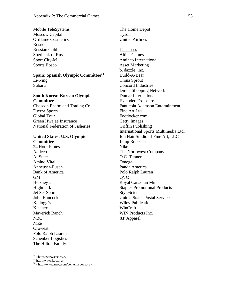Mobile TeleSystems Moscow Capital Oriflame Cosmetics Rosno Russian Gold Sberbank of Russia Sport City-M Sports Bosco

## **Spain: Spanish Olympic Committee**<sup>14</sup> Li-Ning

Subaru

# **South Korea: Korean Olympic Committee**<sup>15</sup>

Choseon Pharm and Trading Co. Fuerza Sports Global Tour Green Hwajae Insurance National Federation of Fisheries

#### **United States: U.S. Olympic Committee**<sup>16</sup>

24 Hour Fitness Addeco AllState Amino Vital Anheuser-Busch Bank of America GM Hershey's Highmark Jet Set Sports John Hancock Kellogg's Kleenex Maverick Ranch NBC Nike **Oroweat** Polo Ralph Lauren Schenker Logistics The Hilton Family

The Home Depot Tyson United Airlines

#### Licensees

Altius Games Aminco International Asset Marketing b. dazzle, inc. Build-A-Bear China Sprout Concord Industries Direct Shopping Network Dumar International Extended Exposure Fanticola Adamson Entertainment Fine Art Ltd Footlocker.com Getty Images Griffin Publishing International Sports Multimedia Ltd. Jon Hair Studio of Fine Art, LLC Jump Rope Tech Nike The Northwest Company O.C. Tanner Omega Panda America Polo Ralph Lauren QVC Royal Canadian Mint Staples Promotional Products **StyleScience** United States Postal Service Wiley Publications WinCraft WIN Products Inc. XP Apparel

 $14$  <http://www.coe.es/>.

<sup>15</sup> http://www.koc.org/

<sup>&</sup>lt;sup>16</sup> <http://www.usoc.com/content/sponsors>.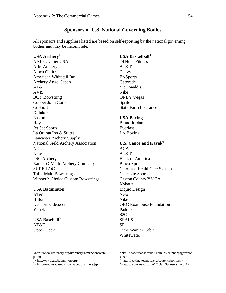## **Sponsors of U.S. National Governing Bodies**

All sponsors and suppliers listed are based on self-reporting by the national governing bodies and may be incomplete.

#### USA Archery<sup>1</sup>

AAE Cavalier USA AIM Archery Alpen Optics American Whitetail Inc Archery Angel Japan AT&T AVIS BCY Bowstring Copper John Corp CoSport Doinker Easton Hoyt Jet Set Sports La Quinta Inn & Suites Lancaster Archery Supply National Field Archery Association **NEET** Nike PSC Archery Range-O-Matic Archery Company SURE-LOC TailorMaid Bowstrings Winner's Choice Custom Bowstrings

#### **USA Badminton**<sup>2</sup>

AT&T Hilton ivesportsvideo.com Yonek

## **USA Baseball**<sup>3</sup>

AT&T Upper Deck

# **USA Basketball**<sup>4</sup>

24 Hour Fitness AT&T Chevy EASports Gatorade McDonald's Nike ONLY Vegas Sprite State Farm Insurance

#### **USA Boxing**<sup>5</sup>

Brand Jordan Everlast LA Boxing

# **U.S. Canoe and Kayak**<sup>6</sup>

ACA AT&T Bank of America Braca-Sport Carolinas HealthCare System Charlotte Sports Gaston County YMCA Kokatat Liquid Design Nelo Nike OKC Boathouse Foundation Paddler S2O SEALS SR Time Warner Cable Whitewater

#### $\frac{1}{1}$  $\mathbf{1}$

4

<sup>&</sup>lt;http://www.usarchery.org/usarchery/html/Sponsorshi p.html>.<br><sup>2</sup> shttp://

 <sup>&</sup>lt;http://www.usabadminton.org/>.

<sup>3</sup> <http://web.usabaseball.com/about/partners.jsp>.

<sup>&</sup>lt;http://www.usabasketball.com/inside.php?page=spon sors>.

 $^5$  <http://boxing.teamusa.org/content/sponsors>.

 $6$  <http://www.usack.org/Official\_Sponsors\_.aspx#>.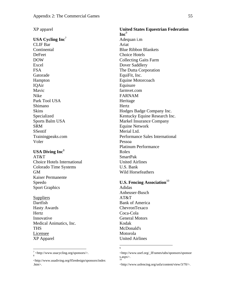XP apparel

USA Cycling Inc<sup>7</sup> CLIF Bar **Continental** DeFeet DOW Excel FSA Gatorade Hampton IQAir Mavic Nike Park Tool USA Shimano **Skins** Specialized Sports Balm USA SRM SSentif Trainingpeaks.com Voler

#### USA Diving Inc<sup>8</sup>

AT&T Choice Hotels International Colorado Time Systems GM Kaiser Permanente Speedo Sport Graphics

**Suppliers** Dartfish Hasty Awards **Hertz** Innovative Medical Animatics, Inc. **THS** Licensee XP Apparel

 $\overline{a}$ 

 $7$  <http://www.usacycling.org/sponsors/>. 8

**United States Equestrian Federation**   $\mathbf{Inc}^9$ Adequan i.m Ariat Blue Ribbon Blankets Choice Hotels Collecting Gaits Farm Dover Saddlery The Dutta Corporation EquiFit, Inc. Equine Motorcoach Equisure farmvet.com FARNAM Heritage Hertz Hodges Badge Company Inc. Kentucky Equine Research Inc. Markel Insurance Company Equine Network Merial Ltd. Performance Sales International Pessoa Platinum Performance Rolex SmartPak United Airlines U.S. Bank Wild Horsefeathers

#### **U.S. Fencing Association**<sup>10</sup>

Adidas Anheuser-Busch AT&T Bank of America ChevronTexaco Coca-Cola General Motors Kodak McDonald's Motorola United Airlines

<sup>&</sup>lt;http://www.usadiving.org/05redesign/sponsors/index .htm>.

<sup>9</sup>

<sup>&</sup>lt;http://www.usef.org/\_IFrames/tabs/sponsors/sponsor s.aspx>. 10

<sup>&</sup>lt;http://www.usfencing.org/usfa/content/view/3/70/>.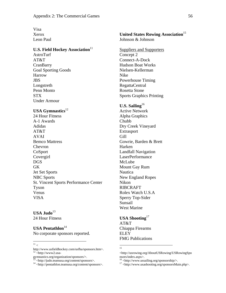Visa Xerox Leon Paul

## **U.S. Field Hockey Association**<sup>11</sup>

AstroTurf AT&T **CranBarry** Goal Sporting Goods Harrow JBS Longstreth Penn Monto STX Under Armour

#### USA Gymnastics<sup>12</sup>

24 Hour Fitness A-1 Awards Adidas AT&T AVAI Bemco Mattress Chevron CoSport Covergirl DGS **GK** Jet Set Sports NBC Sports St. Vincent Sports Performance Center Tyson Venus VISA

# USA Judo<sup>13</sup> 24 Hour Fitness

**USA Pentathlon**<sup>14</sup> No corporate sponsors reported.

 $\overline{a}$  $11 <$ 

#### **United States Rowing Association**<sup>15</sup> Johnson & Johnson

Suppliers and Supporters Concept 2 Connect-A-Dock Hudson Boat Works Nielsen-Kellerman Nike Powerhouse Timing RegattaCentral Rosetta Stone Sports Graphics Printing

#### U.S. Sailing<sup>16</sup>

Active Network Alpha Graphics Chubb Dry Creek Vineyard Extrasport Gill Gowrie, Barden & Brett Harken Landfall Navigation LaserPerformance McLube Mount Gay Rum Nautica New England Ropes Nikon RIBCRAFT Rolex Watch U.S.A Sperry Top-Sider Sunsail West Marine

# **USA Shooting**<sup>17</sup>

AT&T Chiappa Firearms **ELEY** FMG Publications

http://www.usfieldhockey.com/usfha/sponsors.htm>.<br><sup>12</sup> <http://www2.usa-

gymnastics.org/organization/sponsors/>.

<sup>&</sup>lt;sup>13</sup>  $\langle$ http://judo.teamusa.org/content/sponsors>.<br><sup>14</sup>  $\langle$ http://pentathlon.teamusa.org/content/sponsors>.

 15

<sup>&</sup>lt;http://usrowing.org/AboutUSRowing/USRowingSpo nsors/index.aspx>.

<sup>16 &</sup>lt;http://www.ussailing.org/sponsorship/>.

<sup>17 &</sup>lt;http://www.usashooting.org/sponsorsMain.php>.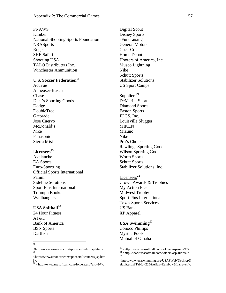#### FNAWS

Kimber National Shooting Sports Foundation **NRASports** Ruger SHE Safari Shooting USA TALO Distributers Inc. Winchester Ammunition

# **U.S. Soccer Federation**<sup>18</sup>

Acuvue Anheuser-Busch Chase Dick's Sporting Goods Dodge DoubleTree Gatorade Jose Cuervo McDonald's Nike Panasonic Sierra Mist

Licensees $^{19}$ Avalanche EA Sports Euro-Sportring Official Sports International Panini Sideline Solutions Sport Pins International Triumph Books Wallbangers

# **USA Softball**<sup>20</sup>

24 Hour Fitness AT&T Bank of America BSN Sports Dartfish

|<br>|<br>| 18

Digital Scout Disney Sports eFundraising General Motors Coca-Cola Home Depot Hooters of America, Inc. Musco Lightning Nike Schutt Sports Stabilizer Solutions US Sport Camps

Suppliers<sup>21</sup> DeMarini Sports Diamond Sports Easton Sports JUGS, Inc. Louisville Slugger MIKEN Mizuno Nike Pro's Choice Rawlings Sporting Goods Wilson Sporting Goods Worth Sports Schutt Sports Stabilizer Solutions, Inc.

Licensees $^{22}$ Crown Awards & Trophies My Action Pics Midwest Trophy Sport Pins International Texas Sports Services US Bank XP Apparel

## USA Swimming<sup>23</sup> Conoco Phillips Myrtha Pools Mutual of Omaha

<sup>&</sup>lt;http://www.ussoccer.com/sponsors/index.jsp.html>. 19

<sup>&</sup>lt;http://www.ussoccer.com/sponsors/licencees.jsp.htm l>.

 $^{20}$  <http://www.usasoftball.com/folders.asp?uid=97>.

 $\overline{a}$ 

<sup>&</sup>lt;sup>21</sup>  $\langle$ http://www.usasoftball.com/folders.asp?uid=97>.<br><sup>22</sup>  $\langle$ http://www.usasoftball.com/folders.asp?uid=97>.

<sup>&</sup>lt;http://www.usaswimming.org/USASWeb/DesktopD efault.aspx?TabId=225&Alias=Rainbow&Lang=en>.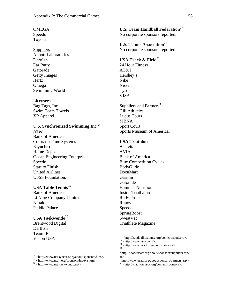# **OMEGA**

Speedo Toyota

#### **Suppliers**

Abbott Laboratories Dartfish Ear Putty Gatorade Getty Images Hertz Omega Swimming World

#### Licensees

Bag Tags, Inc. Swim Team Towels XP Apparel

# **U.S. Synchronized Swimming Inc**. 24

AT&T Bank of America Colorado Time Systems Esynchro Home Depot Ocean Engineering Enterprises Speedo Start to Finish United Airlines USSS Foundation.

#### **USA Table Tennis**<sup>25</sup>

Bank of America Li Ning Company Limited Nittaku Paddle Palace

## **USA Taekwondo**<sup>26</sup>

Brentwood Digital Dartfish Team IP Vision USA

 $\overline{a}$ 

**U.S. Team Handball Federation**<sup>27</sup> No corporate sponsors reported.

**U.S. Tennis Association**<sup>28</sup> No corporate sponsors reported.

# **USA Track & Field**<sup>29</sup>

24 Hour Fitness AT&T Hershey's Nike Nissan Tyson VISA

# Suppliers and Partners<sup>30</sup> Gill Athletics Ludus Tours MBNA Sport Court Sports Museum of America.

## USA Triathlon<sup>31</sup>

Astavita AVIA Bank of America Blue Competition Cycles BodyGlide DocuMart Garmin Gatorade Hammer Nutrition Inside Triathalon Rudy Project Runovia Speedo SpringBoost SweatVac Triathlete Magazine

 $24$  <http://www.usasynchro.org/about/sponsors.htm>.

<sup>&</sup>lt;sup>25</sup> <http://www.usatt.org/sponsors/index.shtml>.<br><sup>26</sup> <http://www.usa-taekwondo.us/>.

<sup>&</sup>lt;sup>27</sup> <http://handball.teamusa.org/content/sponsors>.<br><sup>28</sup> <http://www.usta.com/>.

<sup>28 &</sup>lt;http://www.usta.com/>.  $29$  <http://www.usatf.org/about/sponsors/>.

<sup>&</sup>lt;http://www.usatf.org/about/sponsors/suppliers.asp> and

 $\langle \text{http://www.usaft.org/about/sponsors/partners.asp}\rangle.$  31  $<$ http://triathlon.usoc.org/content/sponsors>.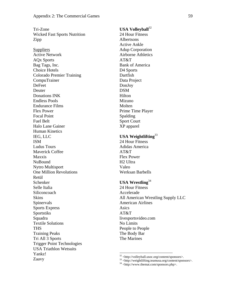Tri-Zone Wicked Fast Sports Nutrition Zipp **Suppliers** Active Network AQx Sports Bag Tags, Inc. Choice Hotels Colorado Premier Training CompuTrainer DeFeet Deuter Donations INK Endless Pools Endurance Films Flex Power Focal Point Fuel Belt Halo Lane Gainer Human Kinetics IEG, LLC ISM Ludus Tours Maverick Coffee Maxxis NuBound Nytro Multisport One Million Revolutions Retül Schenker Selle Italia Siliconcoach Skins Spinervals Sports Express Sportstiks Squadra Textile Solutions **THS** Training Peaks Tri All 3 Sports Trigger Point Technologies USA Triathlon Wetsuits Yankz! Zaavy  $\overline{a}$ 

# **USA Volleyball**<sup>32</sup>

24 Hour Fitness Albertsons Active Ankle Adup Corporation Airborne Athletics AT&T Bank of America D4 Sports Dartfish Data Project DonJoy DSM Hilton Mizuno Molten Prime Time Player Spalding Sport Court XP apparel

# **USA Weightlifting**<sup>33</sup>

24 Hour Fitness Adidas America AT&T Flex Power H2 Ultra Valeo Werksan Barbells

# **USA Wrestling**<sup>34</sup>

24 Hour Fitness Accelerade All American Wrestling Supply LLC American Airlines Asics AT&T livesportsvideo.com No Limits People to People The Body Bar The Marines

<sup>&</sup>lt;sup>32</sup> <http://volleyball.usoc.org/content/sponsors>.<br><sup>33</sup> <http://weightlifting.teamusa.org/content/sponsors>.<br><sup>34</sup> <http://www.themat.com/sponsors.php>.